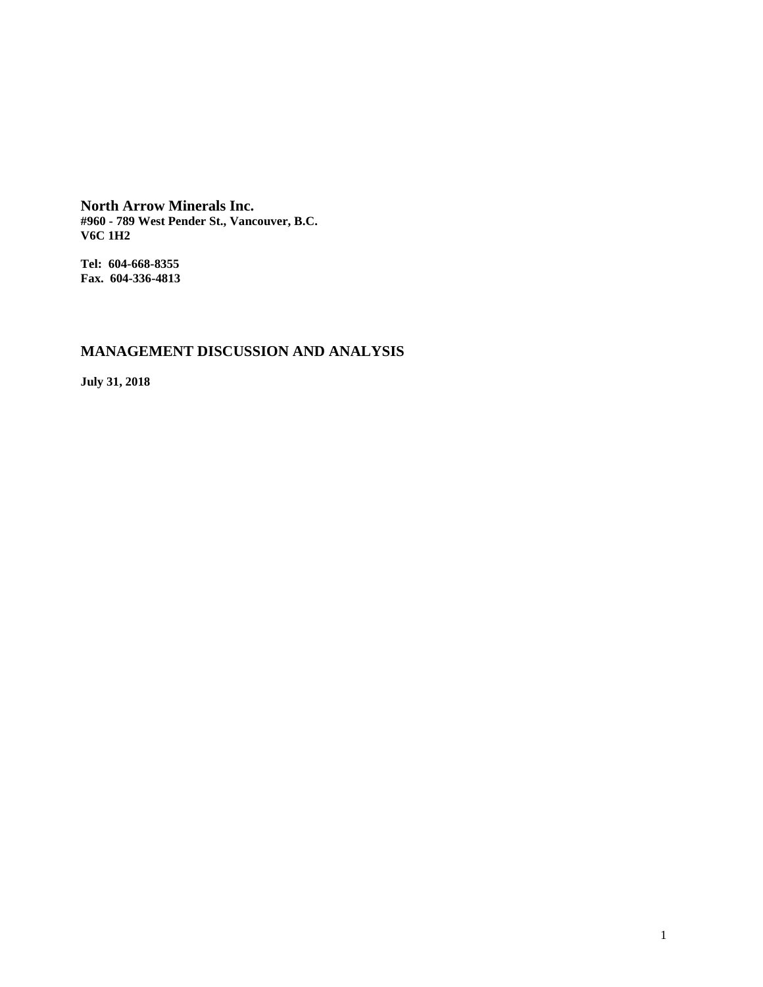**North Arrow Minerals Inc. #960 - 789 West Pender St., Vancouver, B.C. V6C 1H2**

**Tel: 604-668-8355 Fax. 604-336-4813**

# **MANAGEMENT DISCUSSION AND ANALYSIS**

**July 31, 2018**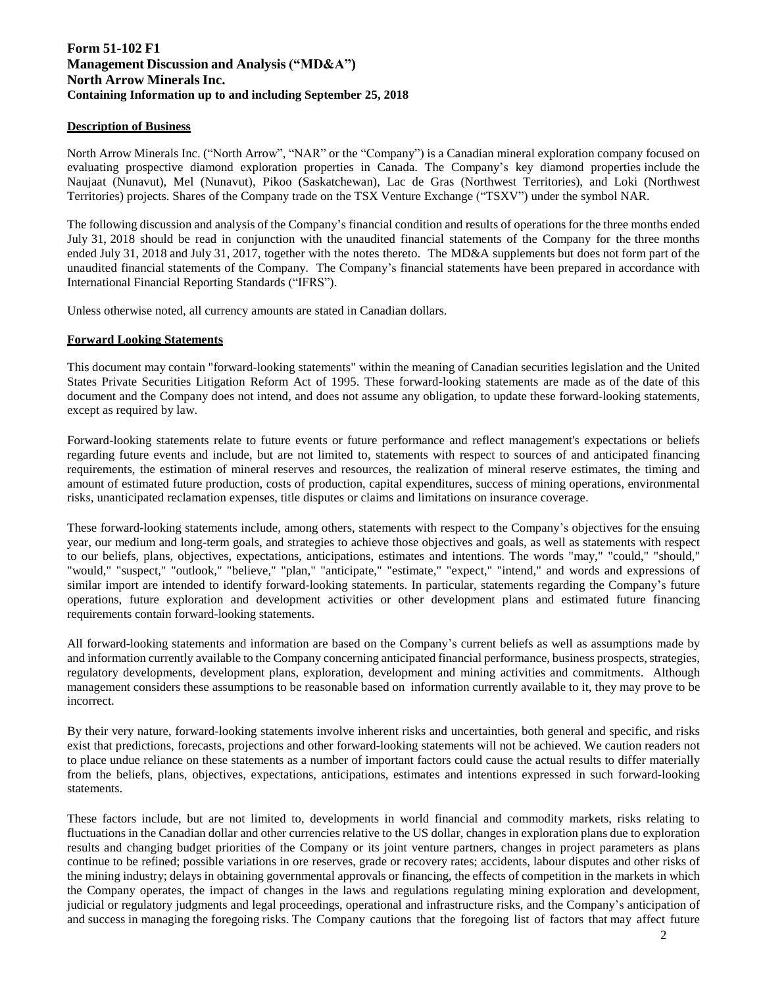# **Form 51-102 F1 Management Discussion and Analysis ("MD&A") North Arrow Minerals Inc. Containing Information up to and including September 25, 2018**

# **Description of Business**

North Arrow Minerals Inc. ("North Arrow", "NAR" or the "Company") is a Canadian mineral exploration company focused on evaluating prospective diamond exploration properties in Canada. The Company's key diamond properties include the Naujaat (Nunavut), Mel (Nunavut), Pikoo (Saskatchewan), Lac de Gras (Northwest Territories), and Loki (Northwest Territories) projects. Shares of the Company trade on the TSX Venture Exchange ("TSXV") under the symbol NAR.

The following discussion and analysis of the Company's financial condition and results of operations for the three months ended July 31, 2018 should be read in conjunction with the unaudited financial statements of the Company for the three months ended July 31, 2018 and July 31, 2017, together with the notes thereto. The MD&A supplements but does not form part of the unaudited financial statements of the Company. The Company's financial statements have been prepared in accordance with International Financial Reporting Standards ("IFRS").

Unless otherwise noted, all currency amounts are stated in Canadian dollars.

# **Forward Looking Statements**

This document may contain "forward-looking statements" within the meaning of Canadian securities legislation and the United States Private Securities Litigation Reform Act of 1995. These forward-looking statements are made as of the date of this document and the Company does not intend, and does not assume any obligation, to update these forward-looking statements, except as required by law.

Forward-looking statements relate to future events or future performance and reflect management's expectations or beliefs regarding future events and include, but are not limited to, statements with respect to sources of and anticipated financing requirements, the estimation of mineral reserves and resources, the realization of mineral reserve estimates, the timing and amount of estimated future production, costs of production, capital expenditures, success of mining operations, environmental risks, unanticipated reclamation expenses, title disputes or claims and limitations on insurance coverage.

These forward-looking statements include, among others, statements with respect to the Company's objectives for the ensuing year, our medium and long-term goals, and strategies to achieve those objectives and goals, as well as statements with respect to our beliefs, plans, objectives, expectations, anticipations, estimates and intentions. The words "may," "could," "should," "would," "suspect," "outlook," "believe," "plan," "anticipate," "estimate," "expect," "intend," and words and expressions of similar import are intended to identify forward-looking statements. In particular, statements regarding the Company's future operations, future exploration and development activities or other development plans and estimated future financing requirements contain forward-looking statements.

All forward-looking statements and information are based on the Company's current beliefs as well as assumptions made by and information currently available to the Company concerning anticipated financial performance, business prospects, strategies, regulatory developments, development plans, exploration, development and mining activities and commitments. Although management considers these assumptions to be reasonable based on information currently available to it, they may prove to be incorrect.

By their very nature, forward-looking statements involve inherent risks and uncertainties, both general and specific, and risks exist that predictions, forecasts, projections and other forward-looking statements will not be achieved. We caution readers not to place undue reliance on these statements as a number of important factors could cause the actual results to differ materially from the beliefs, plans, objectives, expectations, anticipations, estimates and intentions expressed in such forward-looking statements.

These factors include, but are not limited to, developments in world financial and commodity markets, risks relating to fluctuations in the Canadian dollar and other currencies relative to the US dollar, changes in exploration plans due to exploration results and changing budget priorities of the Company or its joint venture partners, changes in project parameters as plans continue to be refined; possible variations in ore reserves, grade or recovery rates; accidents, labour disputes and other risks of the mining industry; delays in obtaining governmental approvals or financing, the effects of competition in the markets in which the Company operates, the impact of changes in the laws and regulations regulating mining exploration and development, judicial or regulatory judgments and legal proceedings, operational and infrastructure risks, and the Company's anticipation of and success in managing the foregoing risks. The Company cautions that the foregoing list of factors that may affect future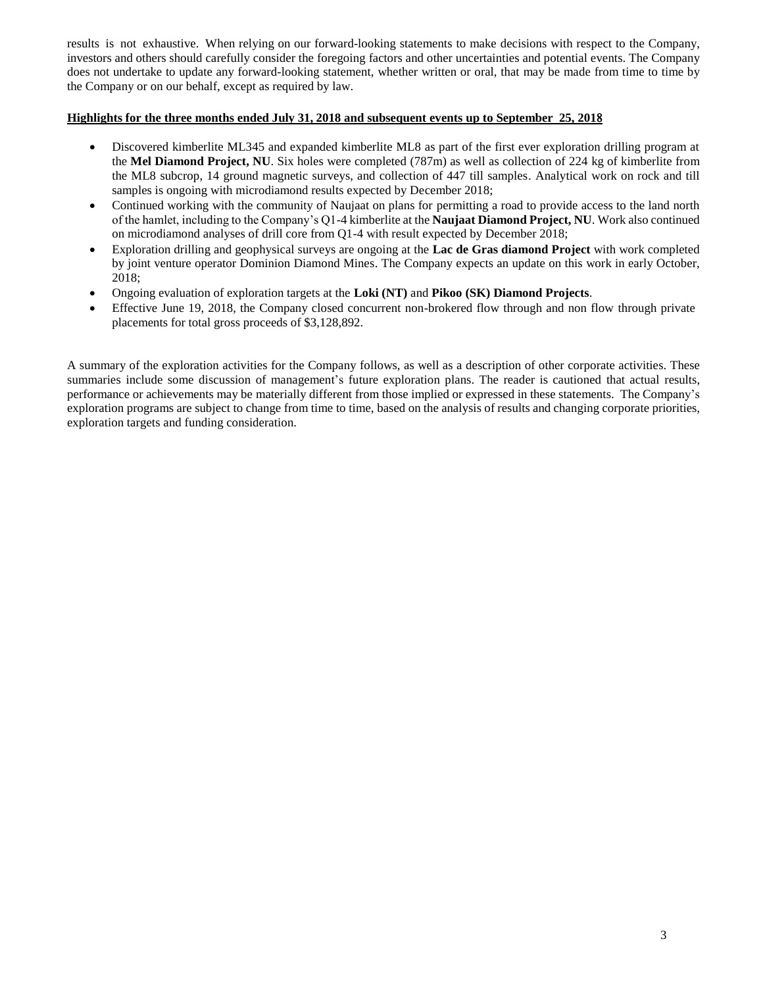results is not exhaustive. When relying on our forward-looking statements to make decisions with respect to the Company, investors and others should carefully consider the foregoing factors and other uncertainties and potential events. The Company does not undertake to update any forward-looking statement, whether written or oral, that may be made from time to time by the Company or on our behalf, except as required by law.

# **Highlights for the three months ended July 31, 2018 and subsequent events up to September 25, 201**

- Discovered kimberlite ML345 and expanded kimberlite ML8 as part of the first ever exploration drilling program at the **Mel Diamond Project, NU**. Six holes were completed (787m) as well as collection of 224 kg of kimberlite from the ML8 subcrop, 14 ground magnetic surveys, and collection of 447 till samples. Analytical work on rock and till samples is ongoing with microdiamond results expected by December 2018;
- Continued working with the community of Naujaat on plans for permitting a road to provide access to the land north of the hamlet, including to the Company's Q1-4 kimberlite at the **Naujaat Diamond Project, NU**. Work also continued on microdiamond analyses of drill core from Q1-4 with result expected by December 2018;
- Exploration drilling and geophysical surveys are ongoing at the **Lac de Gras diamond Project** with work completed by joint venture operator Dominion Diamond Mines. The Company expects an update on this work in early October, 2018;
- Ongoing evaluation of exploration targets at the **Loki (NT)** and **Pikoo (SK) Diamond Projects**.
- Effective June 19, 2018, the Company closed concurrent non-brokered flow through and non flow through private placements for total gross proceeds of \$3,128,892.

A summary of the exploration activities for the Company follows, as well as a description of other corporate activities. These summaries include some discussion of management's future exploration plans. The reader is cautioned that actual results, performance or achievements may be materially different from those implied or expressed in these statements. The Company's exploration programs are subject to change from time to time, based on the analysis of results and changing corporate priorities, exploration targets and funding consideration.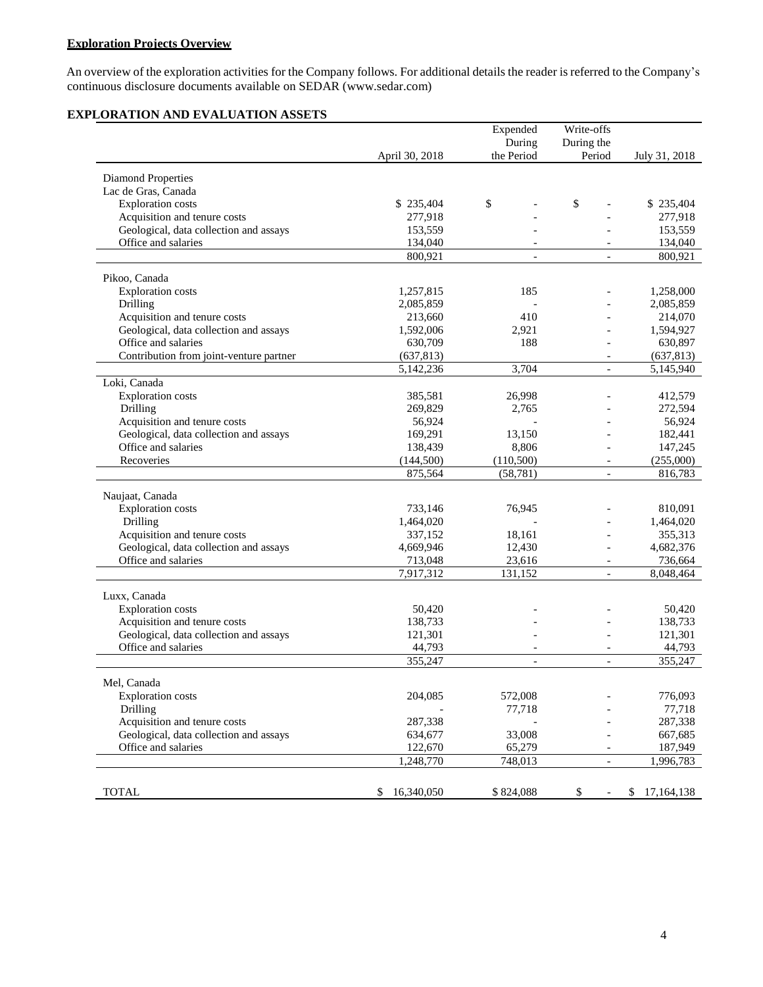# **Exploration Projects Overview**

An overview of the exploration activities for the Company follows. For additional details the reader is referred to the Company's continuous disclosure documents available on [SEDAR \(www.sedar.com](http://www.sedar.com/))

# **EXPLORATION AND EVALUATION ASSETS**

|                                         |                  | Expended                 | Write-offs               |                  |
|-----------------------------------------|------------------|--------------------------|--------------------------|------------------|
|                                         |                  | During                   | During the               |                  |
|                                         | April 30, 2018   | the Period               | Period                   | July 31, 2018    |
| <b>Diamond Properties</b>               |                  |                          |                          |                  |
| Lac de Gras, Canada                     |                  |                          |                          |                  |
| <b>Exploration</b> costs                | \$235,404        | \$                       | \$                       | \$235,404        |
| Acquisition and tenure costs            | 277,918          |                          |                          | 277,918          |
| Geological, data collection and assays  | 153,559          |                          |                          | 153,559          |
| Office and salaries                     | 134,040          |                          |                          | 134,040          |
|                                         | 800,921          | $\overline{\phantom{a}}$ | $\overline{\phantom{a}}$ | 800,921          |
| Pikoo, Canada                           |                  |                          |                          |                  |
| <b>Exploration</b> costs                | 1,257,815        | 185                      |                          | 1,258,000        |
| Drilling                                | 2,085,859        |                          |                          | 2,085,859        |
| Acquisition and tenure costs            | 213,660          | 410                      |                          | 214,070          |
| Geological, data collection and assays  | 1,592,006        | 2,921                    | $\overline{a}$           | 1,594,927        |
| Office and salaries                     | 630,709          | 188                      | $\overline{a}$           | 630,897          |
| Contribution from joint-venture partner | (637, 813)       |                          | $\overline{\phantom{a}}$ | (637, 813)       |
|                                         | 5,142,236        | 3,704                    | $\overline{a}$           | 5,145,940        |
| Loki, Canada                            |                  |                          |                          |                  |
| <b>Exploration</b> costs                | 385,581          | 26,998                   |                          | 412,579          |
| Drilling                                | 269,829          | 2,765                    |                          | 272,594          |
| Acquisition and tenure costs            | 56,924           |                          |                          | 56,924           |
| Geological, data collection and assays  | 169,291          | 13,150                   |                          | 182,441          |
| Office and salaries                     | 138,439          | 8,806                    |                          | 147,245          |
| Recoveries                              | (144, 500)       | (110,500)                | $\overline{\phantom{a}}$ | (255,000)        |
|                                         | 875,564          | (58, 781)                | $\overline{\phantom{a}}$ | 816,783          |
| Naujaat, Canada                         |                  |                          |                          |                  |
| <b>Exploration</b> costs                | 733,146          | 76,945                   |                          | 810,091          |
| Drilling                                | 1,464,020        |                          |                          | 1,464,020        |
| Acquisition and tenure costs            | 337,152          | 18,161                   |                          | 355,313          |
| Geological, data collection and assays  | 4,669,946        | 12,430                   | $\overline{\phantom{a}}$ | 4,682,376        |
| Office and salaries                     | 713,048          | 23,616                   |                          | 736,664          |
|                                         | 7,917,312        | 131,152                  | $\overline{\phantom{a}}$ | 8,048,464        |
| Luxx, Canada                            |                  |                          |                          |                  |
| <b>Exploration</b> costs                | 50,420           |                          |                          | 50,420           |
| Acquisition and tenure costs            | 138,733          |                          |                          | 138,733          |
| Geological, data collection and assays  | 121,301          |                          |                          | 121,301          |
| Office and salaries                     | 44,793           | $\overline{\phantom{a}}$ | $\overline{\phantom{a}}$ | 44,793           |
|                                         | 355,247          | $\overline{\phantom{a}}$ | $\overline{\phantom{a}}$ | 355,247          |
| Mel, Canada                             |                  |                          |                          |                  |
| <b>Exploration</b> costs                | 204,085          | 572,008                  |                          | 776,093          |
| Drilling                                |                  | 77,718                   |                          | 77,718           |
| Acquisition and tenure costs            | 287,338          |                          |                          | 287,338          |
| Geological, data collection and assays  | 634,677          | 33,008                   |                          | 667,685          |
| Office and salaries                     | 122,670          | 65,279                   |                          | 187,949          |
|                                         | 1,248,770        | 748,013                  | $\overline{a}$           | 1,996,783        |
|                                         |                  |                          |                          |                  |
| <b>TOTAL</b>                            | 16,340,050<br>\$ | \$824,088                | \$                       | 17,164,138<br>\$ |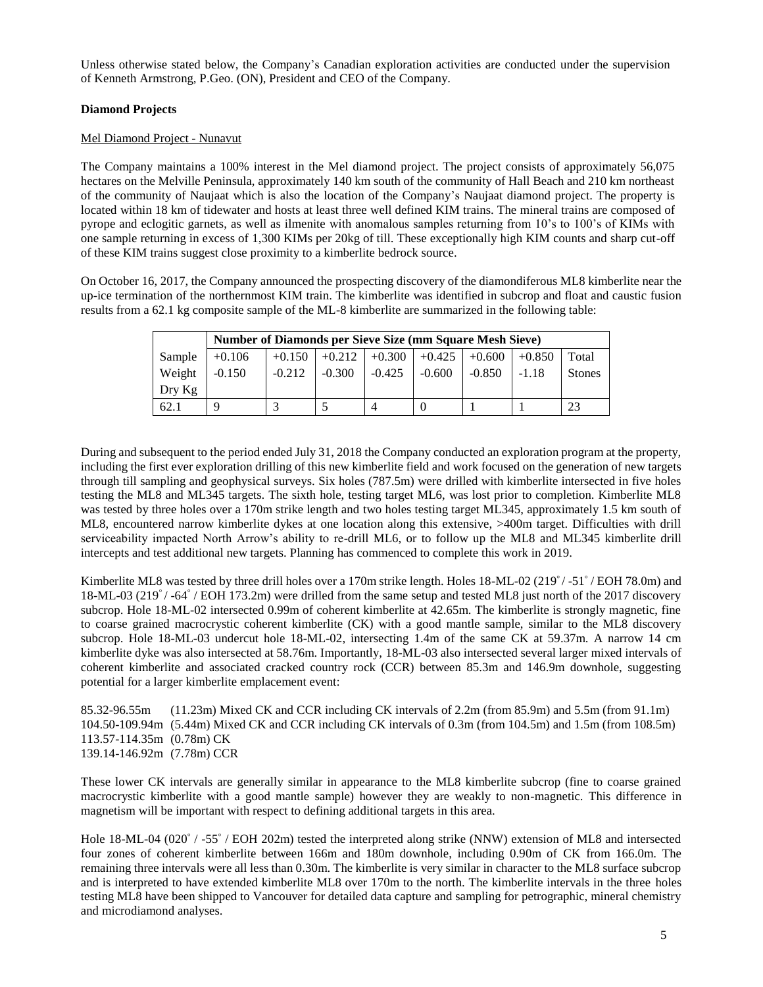Unless otherwise stated below, the Company's Canadian exploration activities are conducted under the supervision of Kenneth Armstrong, P.Geo. (ON), President and CEO of the Company.

# **Diamond Projects**

# Mel Diamond Project - Nunavut

The Company maintains a 100% interest in the Mel diamond project. The project consists of approximately 56,075 hectares on the Melville Peninsula, approximately 140 km south of the community of Hall Beach and 210 km northeast of the community of Naujaat which is also the location of the Company's Naujaat diamond project. The property is located within 18 km of tidewater and hosts at least three well defined KIM trains. The mineral trains are composed of pyrope and eclogitic garnets, as well as ilmenite with anomalous samples returning from 10's to 100's of KIMs with one sample returning in excess of 1,300 KIMs per 20kg of till. These exceptionally high KIM counts and sharp cut-off of these KIM trains suggest close proximity to a kimberlite bedrock source.

On October 16, 2017, the Company announced the prospecting discovery of the diamondiferous ML8 kimberlite near the up-ice termination of the northernmost KIM train. The kimberlite was identified in subcrop and float and caustic fusion results from a 62.1 kg composite sample of the ML-8 kimberlite are summarized in the following table:

|          |          | <b>Number of Diamonds per Sieve Size (mm Square Mesh Sieve)</b> |          |                 |          |          |          |               |  |
|----------|----------|-----------------------------------------------------------------|----------|-----------------|----------|----------|----------|---------------|--|
| Sample   | $+0.106$ | $+0.150$                                                        | $+0.212$ | $+0.300 +0.425$ |          | $+0.600$ | $+0.850$ | Total         |  |
| Weight   | $-0.150$ | $-0.212$                                                        | $-0.300$ | $-0.425$        | $-0.600$ | $-0.850$ | $-1.18$  | <b>Stones</b> |  |
| $Drv$ Kg |          |                                                                 |          |                 |          |          |          |               |  |
| 62.1     |          |                                                                 |          | 4               |          |          |          |               |  |

During and subsequent to the period ended July 31, 2018 the Company conducted an exploration program at the property, including the first ever exploration drilling of this new kimberlite field and work focused on the generation of new targets through till sampling and geophysical surveys. Six holes (787.5m) were drilled with kimberlite intersected in five holes testing the ML8 and ML345 targets. The sixth hole, testing target ML6, was lost prior to completion. Kimberlite ML8 was tested by three holes over a 170m strike length and two holes testing target ML345, approximately 1.5 km south of ML8, encountered narrow kimberlite dykes at one location along this extensive, >400m target. Difficulties with drill serviceability impacted North Arrow's ability to re-drill ML6, or to follow up the ML8 and ML345 kimberlite drill intercepts and test additional new targets. Planning has commenced to complete this work in 2019.

Kimberlite ML8 was tested by three drill holes over a 170m strike length. Holes 18-ML-02 (219<sup>°</sup> / -51<sup>°</sup> / EOH 78.0m) and 18-ML-03 (219°/-64°/EOH 173.2m) were drilled from the same setup and tested ML8 just north of the 2017 discovery subcrop. Hole 18-ML-02 intersected 0.99m of coherent kimberlite at 42.65m. The kimberlite is strongly magnetic, fine to coarse grained macrocrystic coherent kimberlite (CK) with a good mantle sample, similar to the ML8 discovery subcrop. Hole 18-ML-03 undercut hole 18-ML-02, intersecting 1.4m of the same CK at 59.37m. A narrow 14 cm kimberlite dyke was also intersected at 58.76m. Importantly, 18-ML-03 also intersected several larger mixed intervals of coherent kimberlite and associated cracked country rock (CCR) between 85.3m and 146.9m downhole, suggesting potential for a larger kimberlite emplacement event:

85.32-96.55m (11.23m) Mixed CK and CCR including CK intervals of 2.2m (from 85.9m) and 5.5m (from 91.1m) 104.50-109.94m (5.44m) Mixed CK and CCR including CK intervals of 0.3m (from 104.5m) and 1.5m (from 108.5m) 113.57-114.35m (0.78m) CK 139.14-146.92m (7.78m) CCR

These lower CK intervals are generally similar in appearance to the ML8 kimberlite subcrop (fine to coarse grained macrocrystic kimberlite with a good mantle sample) however they are weakly to non-magnetic. This difference in magnetism will be important with respect to defining additional targets in this area.

Hole 18-ML-04 (020° / -55° / EOH 202m) tested the interpreted along strike (NNW) extension of ML8 and intersected four zones of coherent kimberlite between 166m and 180m downhole, including 0.90m of CK from 166.0m. The remaining three intervals were all less than 0.30m. The kimberlite is very similar in character to the ML8 surface subcrop and is interpreted to have extended kimberlite ML8 over 170m to the north. The kimberlite intervals in the three holes testing ML8 have been shipped to Vancouver for detailed data capture and sampling for petrographic, mineral chemistry and microdiamond analyses.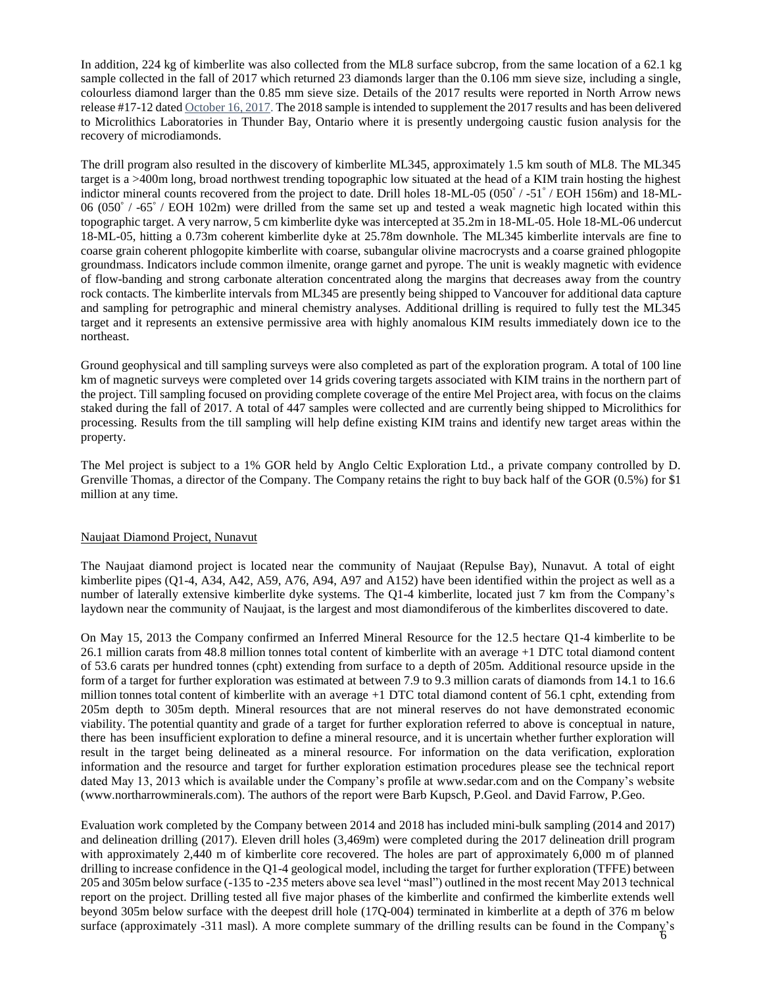In addition, 224 kg of kimberlite was also collected from the ML8 surface subcrop, from the same location of a 62.1 kg sample collected in the fall of 2017 which returned 23 diamonds larger than the 0.106 mm sieve size, including a single, colourless diamond larger than the 0.85 mm sieve size. Details of the 2017 results were reported in North Arrow news release #17-12 date[d October 16, 2017.](http://www.northarrowminerals.com/news/press_releases/index.php?content_id=220) The 2018 sample is intended to supplement the 2017 results and has been delivered to Microlithics Laboratories in Thunder Bay, Ontario where it is presently undergoing caustic fusion analysis for the recovery of microdiamonds.

The drill program also resulted in the discovery of kimberlite ML345, approximately 1.5 km south of ML8. The ML345 target is a >400m long, broad northwest trending topographic low situated at the head of a KIM train hosting the highest indictor mineral counts recovered from the project to date. Drill holes 18-ML-05 (050° / -51° / EOH 156m) and 18-ML-06 (050° / -65° / EOH 102m) were drilled from the same set up and tested a weak magnetic high located within this topographic target. A very narrow, 5 cm kimberlite dyke was intercepted at 35.2m in 18-ML-05. Hole 18-ML-06 undercut 18-ML-05, hitting a 0.73m coherent kimberlite dyke at 25.78m downhole. The ML345 kimberlite intervals are fine to coarse grain coherent phlogopite kimberlite with coarse, subangular olivine macrocrysts and a coarse grained phlogopite groundmass. Indicators include common ilmenite, orange garnet and pyrope. The unit is weakly magnetic with evidence of flow-banding and strong carbonate alteration concentrated along the margins that decreases away from the country rock contacts. The kimberlite intervals from ML345 are presently being shipped to Vancouver for additional data capture and sampling for petrographic and mineral chemistry analyses. Additional drilling is required to fully test the ML345 target and it represents an extensive permissive area with highly anomalous KIM results immediately down ice to the northeast.

Ground geophysical and till sampling surveys were also completed as part of the exploration program. A total of 100 line km of magnetic surveys were completed over 14 grids covering targets associated with KIM trains in the northern part of the project. Till sampling focused on providing complete coverage of the entire Mel Project area, with focus on the claims staked during the fall of 2017. A total of 447 samples were collected and are currently being shipped to Microlithics for processing. Results from the till sampling will help define existing KIM trains and identify new target areas within the property.

The Mel project is subject to a 1% GOR held by Anglo Celtic Exploration Ltd., a private company controlled by D. Grenville Thomas, a director of the Company. The Company retains the right to buy back half of the GOR (0.5%) for \$1 million at any time.

# Naujaat Diamond Project, Nunavut

The Naujaat diamond project is located near the community of Naujaat (Repulse Bay), Nunavut. A total of eight kimberlite pipes (Q1-4, A34, A42, A59, A76, A94, A97 and A152) have been identified within the project as well as a number of laterally extensive kimberlite dyke systems. The Q1-4 kimberlite, located just 7 km from the Company's laydown near the community of Naujaat, is the largest and most diamondiferous of the kimberlites discovered to date.

On May 15, 2013 the Company confirmed an Inferred Mineral Resource for the 12.5 hectare Q1-4 kimberlite to be 26.1 million carats from 48.8 million tonnes total content of kimberlite with an average +1 DTC total diamond content of 53.6 carats per hundred tonnes (cpht) extending from surface to a depth of 205m. Additional resource upside in the form of a target for further exploration was estimated at between 7.9 to 9.3 million carats of diamonds from 14.1 to 16.6 million tonnes total content of kimberlite with an average +1 DTC total diamond content of 56.1 cpht, extending from 205m depth to 305m depth. Mineral resources that are not mineral reserves do not have demonstrated economic viability. The potential quantity and grade of a target for further exploration referred to above is conceptual in nature, there has been insufficient exploration to define a mineral resource, and it is uncertain whether further exploration will result in the target being delineated as a mineral resource. For information on the data verification, exploration information and the resource and target for further exploration estimation procedures please see the technical report dated May 13, 2013 which is available under the Company's profile at [www.sedar.com](http://www.sedar.com/) and on the Company's website [\(www.northarrowminerals.com\)](http://www.northarrowminerals.com/). The authors of the report were Barb Kupsch, P.Geol. and David Farrow, P.Geo.

surface (approximately -311 masl). A more complete summary of the drilling results can be found in the Company's  $\frac{6}{6}$ Evaluation work completed by the Company between 2014 and 2018 has included mini-bulk sampling (2014 and 2017) and delineation drilling (2017). Eleven drill holes (3,469m) were completed during the 2017 delineation drill program with approximately 2,440 m of kimberlite core recovered. The holes are part of approximately 6,000 m of planned drilling to increase confidence in the Q1-4 geological model, including the target for further exploration (TFFE) between 205 and 305m below surface (-135 to -235 meters above sea level "masl") outlined in the most recent May 2013 technical report on the project. Drilling tested all five major phases of the kimberlite and confirmed the kimberlite extends well beyond 305m below surface with the deepest drill hole (17Q-004) terminated in kimberlite at a depth of 376 m below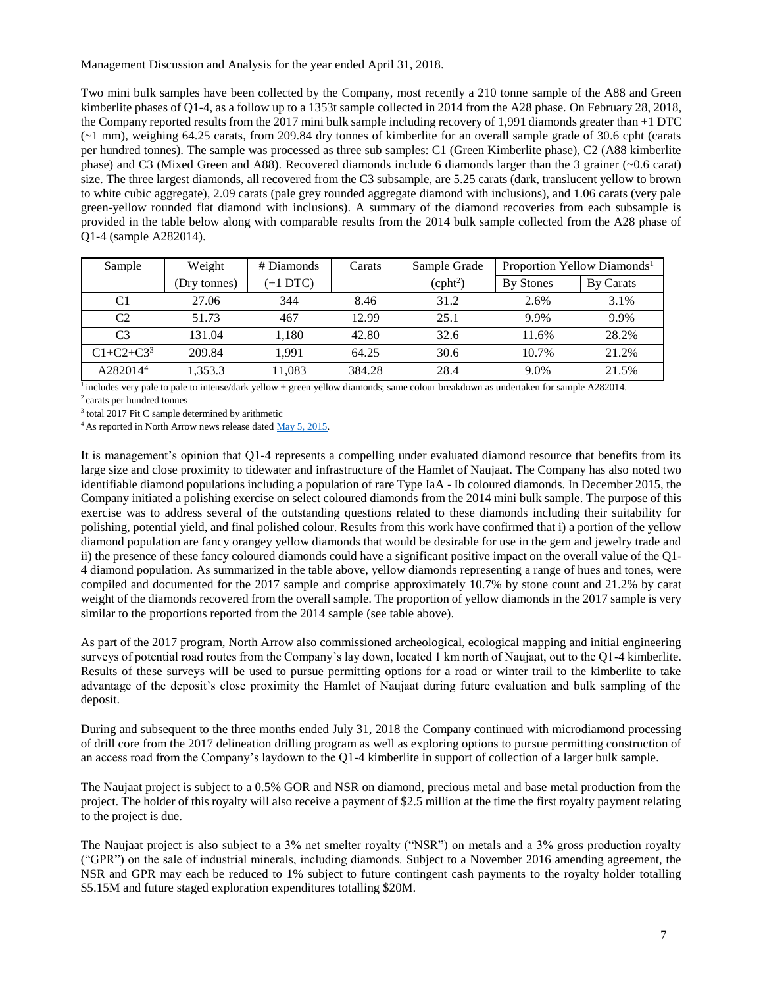Management Discussion and Analysis for the year ended April 31, 2018.

Two mini bulk samples have been collected by the Company, most recently a 210 tonne sample of the A88 and Green kimberlite phases of Q1-4, as a follow up to a 1353t sample collected in 2014 from the A28 phase. On February 28, 2018, the Company reported results from the 2017 mini bulk sample including recovery of 1,991 diamonds greater than +1 DTC (~1 mm), weighing 64.25 carats, from 209.84 dry tonnes of kimberlite for an overall sample grade of 30.6 cpht (carats per hundred tonnes). The sample was processed as three sub samples: C1 (Green Kimberlite phase), C2 (A88 kimberlite phase) and C3 (Mixed Green and A88). Recovered diamonds include 6 diamonds larger than the 3 grainer (~0.6 carat) size. The three largest diamonds, all recovered from the C3 subsample, are 5.25 carats (dark, translucent yellow to brown to white cubic aggregate), 2.09 carats (pale grey rounded aggregate diamond with inclusions), and 1.06 carats (very pale green-yellow rounded flat diamond with inclusions). A summary of the diamond recoveries from each subsample is provided in the table below along with comparable results from the 2014 bulk sample collected from the A28 phase of Q1-4 (sample A282014).

| Sample               | Weight       | # Diamonds | Carats | Sample Grade         | Proportion Yellow Diamonds <sup>1</sup> |           |
|----------------------|--------------|------------|--------|----------------------|-----------------------------------------|-----------|
|                      | (Dry tonnes) | $(+1$ DTC) |        | (cpht <sup>2</sup> ) | <b>By Stones</b>                        | By Carats |
| C1                   | 27.06        | 344        | 8.46   | 31.2                 | 2.6%                                    | 3.1%      |
| C <sub>2</sub>       | 51.73        | 467        | 12.99  | 25.1                 | 9.9%                                    | 9.9%      |
| C <sub>3</sub>       | 131.04       | 1.180      | 42.80  | 32.6                 | 11.6%                                   | 28.2%     |
| $C1 + C2 + C3^3$     | 209.84       | 1.991      | 64.25  | 30.6                 | 10.7%                                   | 21.2%     |
| A282014 <sup>4</sup> | 1,353.3      | 11,083     | 384.28 | 28.4                 | 9.0%                                    | 21.5%     |

<sup>1</sup> includes very pale to pale to intense/dark yellow + green yellow diamonds; same colour breakdown as undertaken for sample A282014.

 $\,2$  carats per hundred tonnes

<sup>3</sup> total 2017 Pit C sample determined by arithmetic

<sup>4</sup> As reported in North Arrow news release dated [May 5, 2015.](http://www.northarrowminerals.com/news/press_releases/2015/index.php?content_id=178)

It is management's opinion that Q1-4 represents a compelling under evaluated diamond resource that benefits from its large size and close proximity to tidewater and infrastructure of the Hamlet of Naujaat. The Company has also noted two identifiable diamond populations including a population of rare Type IaA - Ib coloured diamonds. In December 2015, the Company initiated a polishing exercise on select coloured diamonds from the 2014 mini bulk sample. The purpose of this exercise was to address several of the outstanding questions related to these diamonds including their suitability for polishing, potential yield, and final polished colour. Results from this work have confirmed that i) a portion of the yellow diamond population are fancy orangey yellow diamonds that would be desirable for use in the gem and jewelry trade and ii) the presence of these fancy coloured diamonds could have a significant positive impact on the overall value of the Q1- 4 diamond population. As summarized in the table above, yellow diamonds representing a range of hues and tones, were compiled and documented for the 2017 sample and comprise approximately 10.7% by stone count and 21.2% by carat weight of the diamonds recovered from the overall sample. The proportion of yellow diamonds in the 2017 sample is very similar to the proportions reported from the 2014 sample (see table above).

As part of the 2017 program, North Arrow also commissioned archeological, ecological mapping and initial engineering surveys of potential road routes from the Company's lay down, located 1 km north of Naujaat, out to the Q1-4 kimberlite. Results of these surveys will be used to pursue permitting options for a road or winter trail to the kimberlite to take advantage of the deposit's close proximity the Hamlet of Naujaat during future evaluation and bulk sampling of the deposit.

During and subsequent to the three months ended July 31, 2018 the Company continued with microdiamond processing of drill core from the 2017 delineation drilling program as well as exploring options to pursue permitting construction of an access road from the Company's laydown to the Q1-4 kimberlite in support of collection of a larger bulk sample.

The Naujaat project is subject to a 0.5% GOR and NSR on diamond, precious metal and base metal production from the project. The holder of this royalty will also receive a payment of \$2.5 million at the time the first royalty payment relating to the project is due.

The Naujaat project is also subject to a 3% net smelter royalty ("NSR") on metals and a 3% gross production royalty ("GPR") on the sale of industrial minerals, including diamonds. Subject to a November 2016 amending agreement, the NSR and GPR may each be reduced to 1% subject to future contingent cash payments to the royalty holder totalling \$5.15M and future staged exploration expenditures totalling \$20M.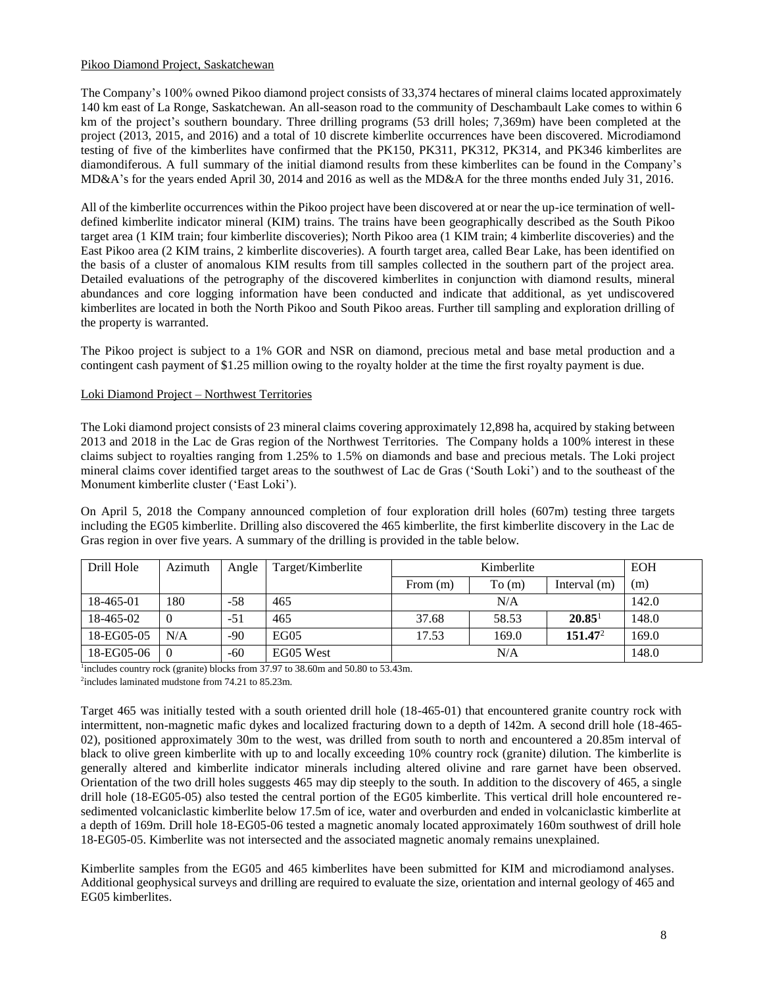# Pikoo Diamond Project, Saskatchewan

The Company's 100% owned Pikoo diamond project consists of 33,374 hectares of mineral claims located approximately 140 km east of La Ronge, Saskatchewan. An all-season road to the community of Deschambault Lake comes to within 6 km of the project's southern boundary. Three drilling programs (53 drill holes; 7,369m) have been completed at the project (2013, 2015, and 2016) and a total of 10 discrete kimberlite occurrences have been discovered. Microdiamond testing of five of the kimberlites have confirmed that the PK150, PK311, PK312, PK314, and PK346 kimberlites are diamondiferous. A full summary of the initial diamond results from these kimberlites can be found in the Company's MD&A's for the years ended April 30, 2014 and 2016 as well as the MD&A for the three months ended July 31, 2016.

All of the kimberlite occurrences within the Pikoo project have been discovered at or near the up-ice termination of welldefined kimberlite indicator mineral (KIM) trains. The trains have been geographically described as the South Pikoo target area (1 KIM train; four kimberlite discoveries); North Pikoo area (1 KIM train; 4 kimberlite discoveries) and the East Pikoo area (2 KIM trains, 2 kimberlite discoveries). A fourth target area, called Bear Lake, has been identified on the basis of a cluster of anomalous KIM results from till samples collected in the southern part of the project area. Detailed evaluations of the petrography of the discovered kimberlites in conjunction with diamond results, mineral abundances and core logging information have been conducted and indicate that additional, as yet undiscovered kimberlites are located in both the North Pikoo and South Pikoo areas. Further till sampling and exploration drilling of the property is warranted.

The Pikoo project is subject to a 1% GOR and NSR on diamond, precious metal and base metal production and a contingent cash payment of \$1.25 million owing to the royalty holder at the time the first royalty payment is due.

# Loki Diamond Project – Northwest Territories

The Loki diamond project consists of 23 mineral claims covering approximately 12,898 ha, acquired by staking between 2013 and 2018 in the Lac de Gras region of the Northwest Territories. The Company holds a 100% interest in these claims subject to royalties ranging from 1.25% to 1.5% on diamonds and base and precious metals. The Loki project mineral claims cover identified target areas to the southwest of Lac de Gras ('South Loki') and to the southeast of the Monument kimberlite cluster ('East Loki').

On April 5, 2018 the Company announced completion of four exploration drill holes (607m) testing three targets including the EG05 kimberlite. Drilling also discovered the 465 kimberlite, the first kimberlite discovery in the Lac de Gras region in over five years. A summary of the drilling is provided in the table below.

| Drill Hole | Azimuth  | Angle | Target/Kimberlite | Kimberlite |       |                     | <b>EOH</b> |
|------------|----------|-------|-------------------|------------|-------|---------------------|------------|
|            |          |       |                   | From $(m)$ | To(m) | Interval $(m)$      | (m)        |
| 18-465-01  | 180      | -58   | 465               |            | N/A   |                     | 142.0      |
| 18-465-02  | $\Omega$ | $-51$ | 465               | 37.68      | 58.53 | 20.85 <sup>1</sup>  | 148.0      |
| 18-EG05-05 | N/A      | $-90$ | EGO <sub>5</sub>  | 17.53      | 169.0 | 151.47 <sup>2</sup> | 169.0      |
| 18-EG05-06 | $\theta$ | $-60$ | EG05 West         |            | N/A   |                     | 148.0      |

<sup>1</sup>includes country rock (granite) blocks from 37.97 to 38.60m and 50.80 to 53.43m.

2 includes laminated mudstone from 74.21 to 85.23m.

Target 465 was initially tested with a south oriented drill hole (18-465-01) that encountered granite country rock with intermittent, non-magnetic mafic dykes and localized fracturing down to a depth of 142m. A second drill hole (18-465- 02), positioned approximately 30m to the west, was drilled from south to north and encountered a 20.85m interval of black to olive green kimberlite with up to and locally exceeding 10% country rock (granite) dilution. The kimberlite is generally altered and kimberlite indicator minerals including altered olivine and rare garnet have been observed. Orientation of the two drill holes suggests 465 may dip steeply to the south. In addition to the discovery of 465, a single drill hole (18-EG05-05) also tested the central portion of the EG05 kimberlite. This vertical drill hole encountered resedimented volcaniclastic kimberlite below 17.5m of ice, water and overburden and ended in volcaniclastic kimberlite at a depth of 169m. Drill hole 18-EG05-06 tested a magnetic anomaly located approximately 160m southwest of drill hole 18-EG05-05. Kimberlite was not intersected and the associated magnetic anomaly remains unexplained.

Kimberlite samples from the EG05 and 465 kimberlites have been submitted for KIM and microdiamond analyses. Additional geophysical surveys and drilling are required to evaluate the size, orientation and internal geology of 465 and EG05 kimberlites.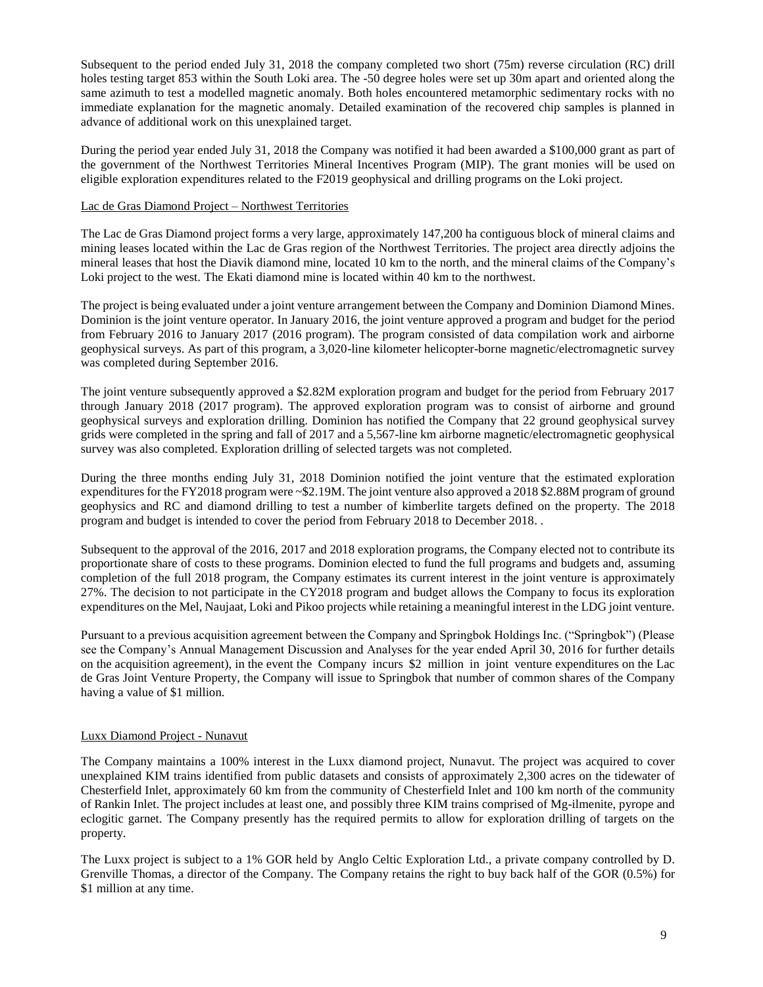Subsequent to the period ended July 31, 2018 the company completed two short (75m) reverse circulation (RC) drill holes testing target 853 within the South Loki area. The -50 degree holes were set up 30m apart and oriented along the same azimuth to test a modelled magnetic anomaly. Both holes encountered metamorphic sedimentary rocks with no immediate explanation for the magnetic anomaly. Detailed examination of the recovered chip samples is planned in advance of additional work on this unexplained target.

During the period year ended July 31, 2018 the Company was notified it had been awarded a \$100,000 grant as part of the government of the Northwest Territories Mineral Incentives Program (MIP). The grant monies will be used on eligible exploration expenditures related to the F2019 geophysical and drilling programs on the Loki project.

# Lac de Gras Diamond Project – Northwest Territories

The Lac de Gras Diamond project forms a very large, approximately 147,200 ha contiguous block of mineral claims and mining leases located within the Lac de Gras region of the Northwest Territories. The project area directly adjoins the mineral leases that host the Diavik diamond mine, located 10 km to the north, and the mineral claims of the Company's Loki project to the west. The Ekati diamond mine is located within 40 km to the northwest.

The project is being evaluated under a joint venture arrangement between the Company and Dominion Diamond Mines. Dominion is the joint venture operator. In January 2016, the joint venture approved a program and budget for the period from February 2016 to January 2017 (2016 program). The program consisted of data compilation work and airborne geophysical surveys. As part of this program, a 3,020-line kilometer helicopter-borne magnetic/electromagnetic survey was completed during September 2016.

The joint venture subsequently approved a \$2.82M exploration program and budget for the period from February 2017 through January 2018 (2017 program). The approved exploration program was to consist of airborne and ground geophysical surveys and exploration drilling. Dominion has notified the Company that 22 ground geophysical survey grids were completed in the spring and fall of 2017 and a 5,567-line km airborne magnetic/electromagnetic geophysical survey was also completed. Exploration drilling of selected targets was not completed.

During the three months ending July 31, 2018 Dominion notified the joint venture that the estimated exploration expenditures for the FY2018 program were ~\$2.19M. The joint venture also approved a 2018 \$2.88M program of ground geophysics and RC and diamond drilling to test a number of kimberlite targets defined on the property. The 2018 program and budget is intended to cover the period from February 2018 to December 2018. .

Subsequent to the approval of the 2016, 2017 and 2018 exploration programs, the Company elected not to contribute its proportionate share of costs to these programs. Dominion elected to fund the full programs and budgets and, assuming completion of the full 2018 program, the Company estimates its current interest in the joint venture is approximately 27%. The decision to not participate in the CY2018 program and budget allows the Company to focus its exploration expenditures on the Mel, Naujaat, Loki and Pikoo projects while retaining a meaningful interest in the LDG joint venture.

Pursuant to a previous acquisition agreement between the Company and Springbok Holdings Inc. ("Springbok") (Please see the Company's Annual Management Discussion and Analyses for the year ended April 30, 2016 for further details on the acquisition agreement), in the event the Company incurs \$2 million in joint venture expenditures on the Lac de Gras Joint Venture Property, the Company will issue to Springbok that number of common shares of the Company having a value of \$1 million.

# Luxx Diamond Project - Nunavut

The Company maintains a 100% interest in the Luxx diamond project, Nunavut. The project was acquired to cover unexplained KIM trains identified from public datasets and consists of approximately 2,300 acres on the tidewater of Chesterfield Inlet, approximately 60 km from the community of Chesterfield Inlet and 100 km north of the community of Rankin Inlet. The project includes at least one, and possibly three KIM trains comprised of Mg-ilmenite, pyrope and eclogitic garnet. The Company presently has the required permits to allow for exploration drilling of targets on the property.

The Luxx project is subject to a 1% GOR held by Anglo Celtic Exploration Ltd., a private company controlled by D. Grenville Thomas, a director of the Company. The Company retains the right to buy back half of the GOR (0.5%) for \$1 million at any time.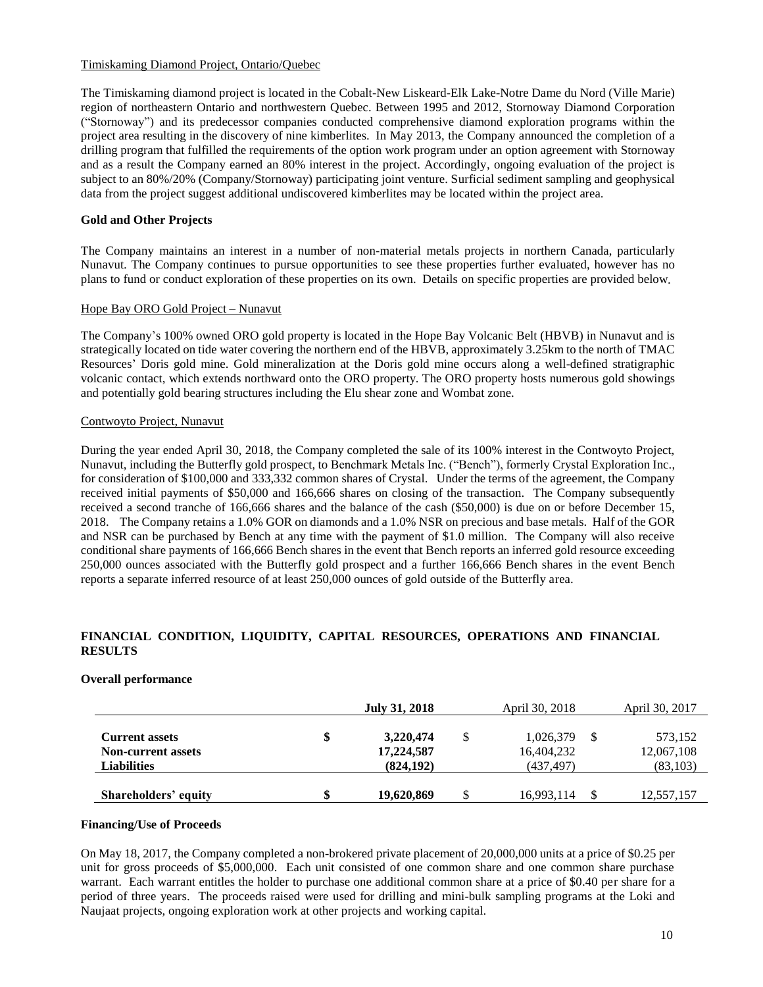# Timiskaming Diamond Project, Ontario/Quebec

The Timiskaming diamond project is located in the Cobalt-New Liskeard-Elk Lake-Notre Dame du Nord (Ville Marie) region of northeastern Ontario and northwestern Quebec. Between 1995 and 2012, Stornoway Diamond Corporation ("Stornoway") and its predecessor companies conducted comprehensive diamond exploration programs within the project area resulting in the discovery of nine kimberlites. In May 2013, the Company announced the completion of a drilling program that fulfilled the requirements of the option work program under an option agreement with Stornoway and as a result the Company earned an 80% interest in the project. Accordingly, ongoing evaluation of the project is subject to an 80%/20% (Company/Stornoway) participating joint venture. Surficial sediment sampling and geophysical data from the project suggest additional undiscovered kimberlites may be located within the project area.

# **Gold and Other Projects**

The Company maintains an interest in a number of non-material metals projects in northern Canada, particularly Nunavut. The Company continues to pursue opportunities to see these properties further evaluated, however has no plans to fund or conduct exploration of these properties on its own. Details on specific properties are provided below.

# Hope Bay ORO Gold Project – Nunavut

The Company's 100% owned ORO gold property is located in the Hope Bay Volcanic Belt (HBVB) in Nunavut and is strategically located on tide water covering the northern end of the HBVB, approximately 3.25km to the north of TMAC Resources' Doris gold mine. Gold mineralization at the Doris gold mine occurs along a well-defined stratigraphic volcanic contact, which extends northward onto the ORO property. The ORO property hosts numerous gold showings and potentially gold bearing structures including the Elu shear zone and Wombat zone.

# Contwoyto Project, Nunavut

During the year ended April 30, 2018, the Company completed the sale of its 100% interest in the Contwoyto Project, Nunavut, including the Butterfly gold prospect, to Benchmark Metals Inc. ("Bench"), formerly Crystal Exploration Inc., for consideration of \$100,000 and 333,332 common shares of Crystal. Under the terms of the agreement, the Company received initial payments of \$50,000 and 166,666 shares on closing of the transaction. The Company subsequently received a second tranche of 166,666 shares and the balance of the cash (\$50,000) is due on or before December 15, 2018. The Company retains a 1.0% GOR on diamonds and a 1.0% NSR on precious and base metals. Half of the GOR and NSR can be purchased by Bench at any time with the payment of \$1.0 million. The Company will also receive conditional share payments of 166,666 Bench shares in the event that Bench reports an inferred gold resource exceeding 250,000 ounces associated with the Butterfly gold prospect and a further 166,666 Bench shares in the event Bench reports a separate inferred resource of at least 250,000 ounces of gold outside of the Butterfly area.

# **FINANCIAL CONDITION, LIQUIDITY, CAPITAL RESOURCES, OPERATIONS AND FINANCIAL RESULTS**

#### **Overall performance**

|                                                                          |    | July 31, 2018                         |   | April 30, 2018                        | April 30, 2017                     |
|--------------------------------------------------------------------------|----|---------------------------------------|---|---------------------------------------|------------------------------------|
| <b>Current assets</b><br><b>Non-current assets</b><br><b>Liabilities</b> | \$ | 3,220,474<br>17,224,587<br>(824, 192) | S | 1,026,379<br>16,404,232<br>(437, 497) | 573,152<br>12,067,108<br>(83, 103) |
| Shareholders' equity                                                     | S  | 19,620,869                            |   | 16,993,114                            | 12,557,157                         |

#### **Financing/Use of Proceeds**

On May 18, 2017, the Company completed a non-brokered private placement of 20,000,000 units at a price of \$0.25 per unit for gross proceeds of \$5,000,000. Each unit consisted of one common share and one common share purchase warrant. Each warrant entitles the holder to purchase one additional common share at a price of \$0.40 per share for a period of three years. The proceeds raised were used for drilling and mini-bulk sampling programs at the Loki and Naujaat projects, ongoing exploration work at other projects and working capital.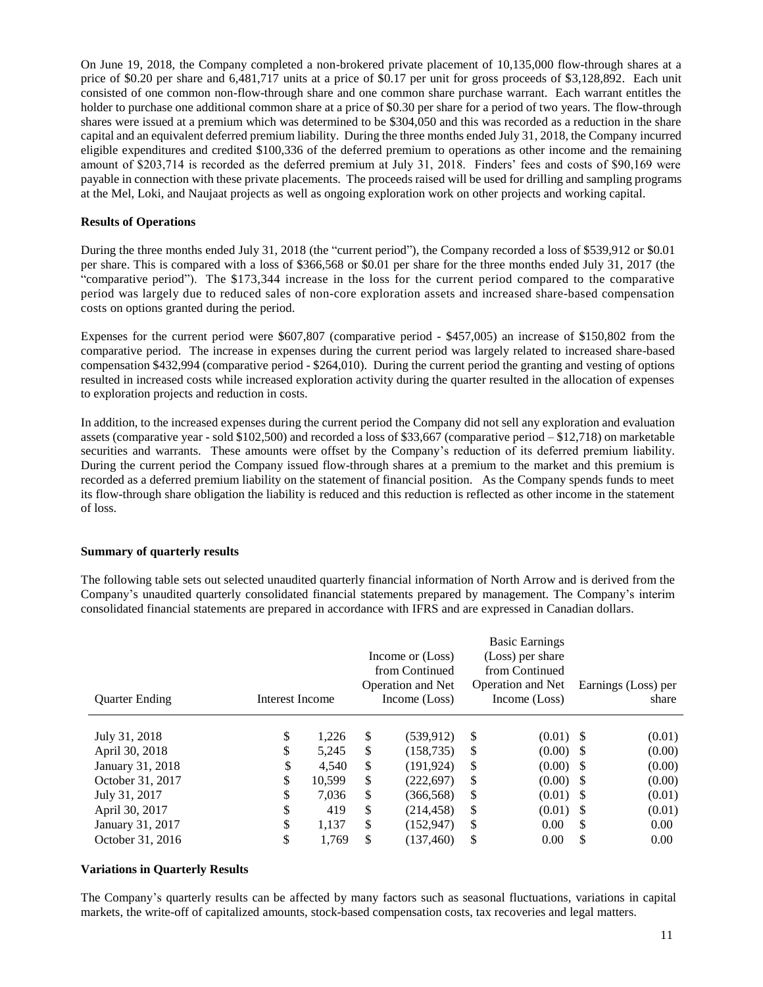On June 19, 2018, the Company completed a non-brokered private placement of 10,135,000 flow-through shares at a price of \$0.20 per share and 6,481,717 units at a price of \$0.17 per unit for gross proceeds of \$3,128,892. Each unit consisted of one common non-flow-through share and one common share purchase warrant. Each warrant entitles the holder to purchase one additional common share at a price of \$0.30 per share for a period of two years. The flow-through shares were issued at a premium which was determined to be \$304,050 and this was recorded as a reduction in the share capital and an equivalent deferred premium liability. During the three months ended July 31, 2018, the Company incurred eligible expenditures and credited \$100,336 of the deferred premium to operations as other income and the remaining amount of \$203,714 is recorded as the deferred premium at July 31, 2018. Finders' fees and costs of \$90,169 were payable in connection with these private placements. The proceeds raised will be used for drilling and sampling programs at the Mel, Loki, and Naujaat projects as well as ongoing exploration work on other projects and working capital.

# **Results of Operations**

During the three months ended July 31, 2018 (the "current period"), the Company recorded a loss of \$539,912 or \$0.01 per share. This is compared with a loss of \$366,568 or \$0.01 per share for the three months ended July 31, 2017 (the "comparative period"). The \$173,344 increase in the loss for the current period compared to the comparative period was largely due to reduced sales of non-core exploration assets and increased share-based compensation costs on options granted during the period.

Expenses for the current period were \$607,807 (comparative period - \$457,005) an increase of \$150,802 from the comparative period. The increase in expenses during the current period was largely related to increased share-based compensation \$432,994 (comparative period - \$264,010). During the current period the granting and vesting of options resulted in increased costs while increased exploration activity during the quarter resulted in the allocation of expenses to exploration projects and reduction in costs.

In addition, to the increased expenses during the current period the Company did not sell any exploration and evaluation assets (comparative year - sold \$102,500) and recorded a loss of \$33,667 (comparative period – \$12,718) on marketable securities and warrants. These amounts were offset by the Company's reduction of its deferred premium liability. During the current period the Company issued flow-through shares at a premium to the market and this premium is recorded as a deferred premium liability on the statement of financial position. As the Company spends funds to meet its flow-through share obligation the liability is reduced and this reduction is reflected as other income in the statement of loss.

# **Summary of quarterly results**

The following table sets out selected unaudited quarterly financial information of North Arrow and is derived from the Company's unaudited quarterly consolidated financial statements prepared by management. The Company's interim consolidated financial statements are prepared in accordance with IFRS and are expressed in Canadian dollars.

| <b>Ouarter Ending</b> | Interest Income |        | Income or (Loss)<br>from Continued<br>Operation and Net<br>Income (Loss) | <b>Basic Earnings</b><br>(Loss) per share<br>from Continued<br>Operation and Net<br>Income (Loss) |     | Earnings (Loss) per<br>share |
|-----------------------|-----------------|--------|--------------------------------------------------------------------------|---------------------------------------------------------------------------------------------------|-----|------------------------------|
| July 31, 2018         | \$              | 1,226  | \$<br>(539, 912)                                                         | \$<br>$(0.01)$ \$                                                                                 |     | (0.01)                       |
| April 30, 2018        | \$              | 5,245  | \$<br>(158, 735)                                                         | \$<br>$(0.00)$ \$                                                                                 |     | (0.00)                       |
| January 31, 2018      | \$              | 4,540  | \$<br>(191, 924)                                                         | \$<br>$(0.00)$ \$                                                                                 |     | (0.00)                       |
| October 31, 2017      | \$              | 10,599 | \$<br>(222, 697)                                                         | \$<br>$(0.00)$ \$                                                                                 |     | (0.00)                       |
| July 31, 2017         | \$              | 7,036  | \$<br>(366, 568)                                                         | \$<br>$(0.01)$ \$                                                                                 |     | (0.01)                       |
| April 30, 2017        | \$              | 419    | \$<br>(214, 458)                                                         | \$<br>$(0.01)$ \$                                                                                 |     | (0.01)                       |
| January 31, 2017      | \$              | 1,137  | \$<br>(152, 947)                                                         | \$<br>0.00                                                                                        | \$. | 0.00                         |
| October 31, 2016      | \$              | 1,769  | \$<br>(137, 460)                                                         | \$<br>0.00                                                                                        | \$  | 0.00                         |

### **Variations in Quarterly Results**

The Company's quarterly results can be affected by many factors such as seasonal fluctuations, variations in capital markets, the write-off of capitalized amounts, stock-based compensation costs, tax recoveries and legal matters.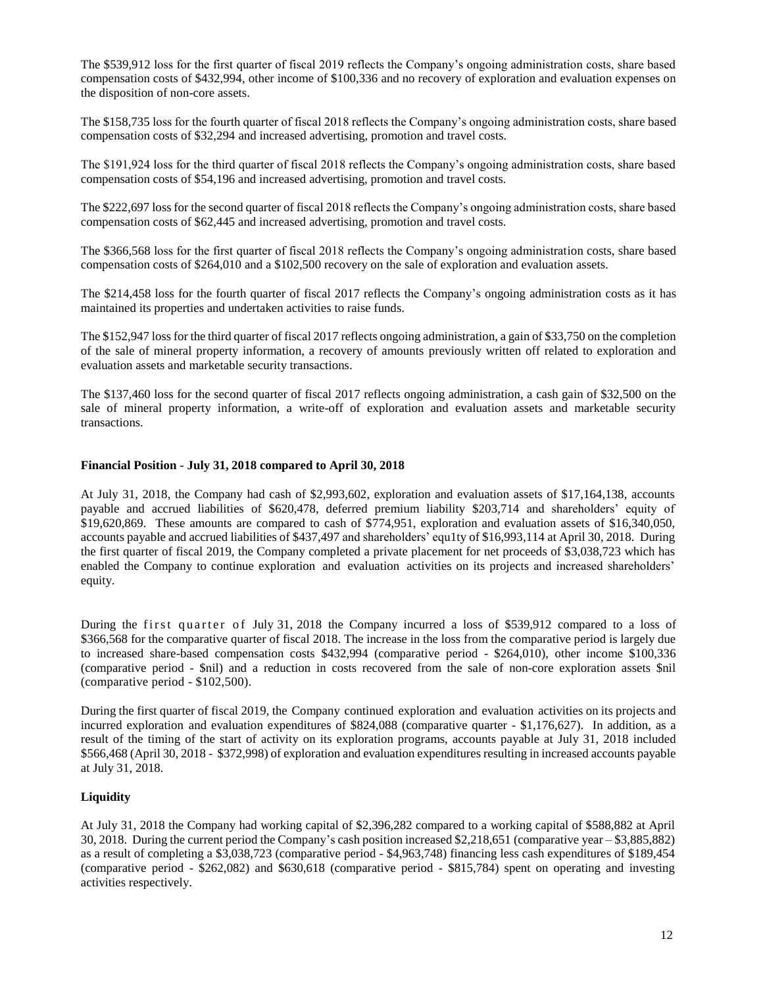The \$539,912 loss for the first quarter of fiscal 2019 reflects the Company's ongoing administration costs, share based compensation costs of \$432,994, other income of \$100,336 and no recovery of exploration and evaluation expenses on the disposition of non-core assets.

The \$158,735 loss for the fourth quarter of fiscal 2018 reflects the Company's ongoing administration costs, share based compensation costs of \$32,294 and increased advertising, promotion and travel costs.

The \$191,924 loss for the third quarter of fiscal 2018 reflects the Company's ongoing administration costs, share based compensation costs of \$54,196 and increased advertising, promotion and travel costs.

The \$222,697 loss for the second quarter of fiscal 2018 reflects the Company's ongoing administration costs, share based compensation costs of \$62,445 and increased advertising, promotion and travel costs.

The \$366,568 loss for the first quarter of fiscal 2018 reflects the Company's ongoing administration costs, share based compensation costs of \$264,010 and a \$102,500 recovery on the sale of exploration and evaluation assets.

The \$214,458 loss for the fourth quarter of fiscal 2017 reflects the Company's ongoing administration costs as it has maintained its properties and undertaken activities to raise funds.

The \$152,947 loss for the third quarter of fiscal 2017 reflects ongoing administration, a gain of \$33,750 on the completion of the sale of mineral property information, a recovery of amounts previously written off related to exploration and evaluation assets and marketable security transactions.

The \$137,460 loss for the second quarter of fiscal 2017 reflects ongoing administration, a cash gain of \$32,500 on the sale of mineral property information, a write-off of exploration and evaluation assets and marketable security transactions.

# **Financial Position - July 31, 2018 compared to April 30, 2018**

At July 31, 2018, the Company had cash of \$2,993,602, exploration and evaluation assets of \$17,164,138, accounts payable and accrued liabilities of \$620,478, deferred premium liability \$203,714 and shareholders' equity of \$19,620,869. These amounts are compared to cash of \$774,951, exploration and evaluation assets of \$16,340,050, accounts payable and accrued liabilities of \$437,497 and shareholders' equ1ty of \$16,993,114 at April 30, 2018. During the first quarter of fiscal 2019, the Company completed a private placement for net proceeds of \$3,038,723 which has enabled the Company to continue exploration and evaluation activities on its projects and increased shareholders' equity.

During the first quarter of July 31, 2018 the Company incurred a loss of \$539,912 compared to a loss of \$366,568 for the comparative quarter of fiscal 2018. The increase in the loss from the comparative period is largely due to increased share-based compensation costs \$432,994 (comparative period - \$264,010), other income \$100,336 (comparative period - \$nil) and a reduction in costs recovered from the sale of non-core exploration assets \$nil (comparative period - \$102,500).

During the first quarter of fiscal 2019, the Company continued exploration and evaluation activities on its projects and incurred exploration and evaluation expenditures of \$824,088 (comparative quarter - \$1,176,627). In addition, as a result of the timing of the start of activity on its exploration programs, accounts payable at July 31, 2018 included \$566,468 (April 30, 2018 - \$372,998) of exploration and evaluation expenditures resulting in increased accounts payable at July 31, 2018.

# **Liquidity**

At July 31, 2018 the Company had working capital of \$2,396,282 compared to a working capital of \$588,882 at April 30, 2018. During the current period the Company's cash position increased \$2,218,651 (comparative year – \$3,885,882) as a result of completing a \$3,038,723 (comparative period - \$4,963,748) financing less cash expenditures of \$189,454 (comparative period - \$262,082) and \$630,618 (comparative period - \$815,784) spent on operating and investing activities respectively.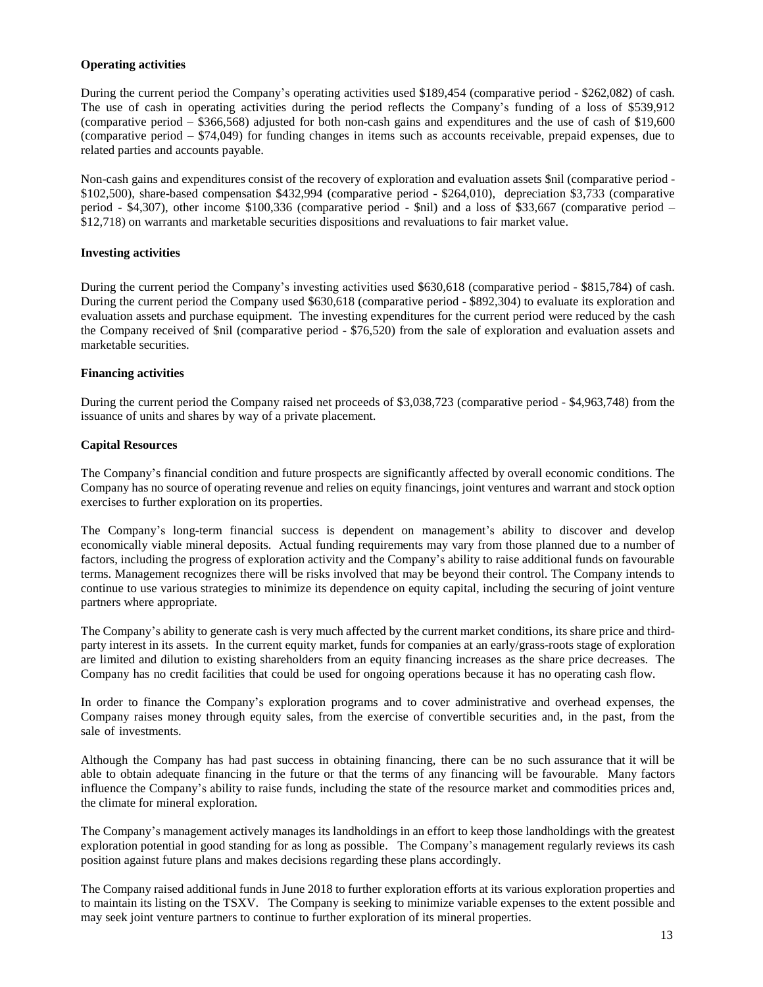# **Operating activities**

During the current period the Company's operating activities used \$189,454 (comparative period - \$262,082) of cash. The use of cash in operating activities during the period reflects the Company's funding of a loss of \$539,912 (comparative period – \$366,568) adjusted for both non-cash gains and expenditures and the use of cash of \$19,600 (comparative period – \$74,049) for funding changes in items such as accounts receivable, prepaid expenses, due to related parties and accounts payable.

Non-cash gains and expenditures consist of the recovery of exploration and evaluation assets \$nil (comparative period - \$102,500), share-based compensation \$432,994 (comparative period - \$264,010), depreciation \$3,733 (comparative period - \$4,307), other income \$100,336 (comparative period - \$nil) and a loss of \$33,667 (comparative period – \$12,718) on warrants and marketable securities dispositions and revaluations to fair market value.

# **Investing activities**

During the current period the Company's investing activities used \$630,618 (comparative period - \$815,784) of cash. During the current period the Company used \$630,618 (comparative period - \$892,304) to evaluate its exploration and evaluation assets and purchase equipment. The investing expenditures for the current period were reduced by the cash the Company received of \$nil (comparative period - \$76,520) from the sale of exploration and evaluation assets and marketable securities.

# **Financing activities**

During the current period the Company raised net proceeds of \$3,038,723 (comparative period - \$4,963,748) from the issuance of units and shares by way of a private placement.

# **Capital Resources**

The Company's financial condition and future prospects are significantly affected by overall economic conditions. The Company has no source of operating revenue and relies on equity financings, joint ventures and warrant and stock option exercises to further exploration on its properties.

The Company's long-term financial success is dependent on management's ability to discover and develop economically viable mineral deposits. Actual funding requirements may vary from those planned due to a number of factors, including the progress of exploration activity and the Company's ability to raise additional funds on favourable terms. Management recognizes there will be risks involved that may be beyond their control. The Company intends to continue to use various strategies to minimize its dependence on equity capital, including the securing of joint venture partners where appropriate.

The Company's ability to generate cash is very much affected by the current market conditions, its share price and thirdparty interest in its assets. In the current equity market, funds for companies at an early/grass-roots stage of exploration are limited and dilution to existing shareholders from an equity financing increases as the share price decreases. The Company has no credit facilities that could be used for ongoing operations because it has no operating cash flow.

In order to finance the Company's exploration programs and to cover administrative and overhead expenses, the Company raises money through equity sales, from the exercise of convertible securities and, in the past, from the sale of investments.

Although the Company has had past success in obtaining financing, there can be no such assurance that it will be able to obtain adequate financing in the future or that the terms of any financing will be favourable. Many factors influence the Company's ability to raise funds, including the state of the resource market and commodities prices and, the climate for mineral exploration.

The Company's management actively manages its landholdings in an effort to keep those landholdings with the greatest exploration potential in good standing for as long as possible. The Company's management regularly reviews its cash position against future plans and makes decisions regarding these plans accordingly.

The Company raised additional funds in June 2018 to further exploration efforts at its various exploration properties and to maintain its listing on the TSXV. The Company is seeking to minimize variable expenses to the extent possible and may seek joint venture partners to continue to further exploration of its mineral properties.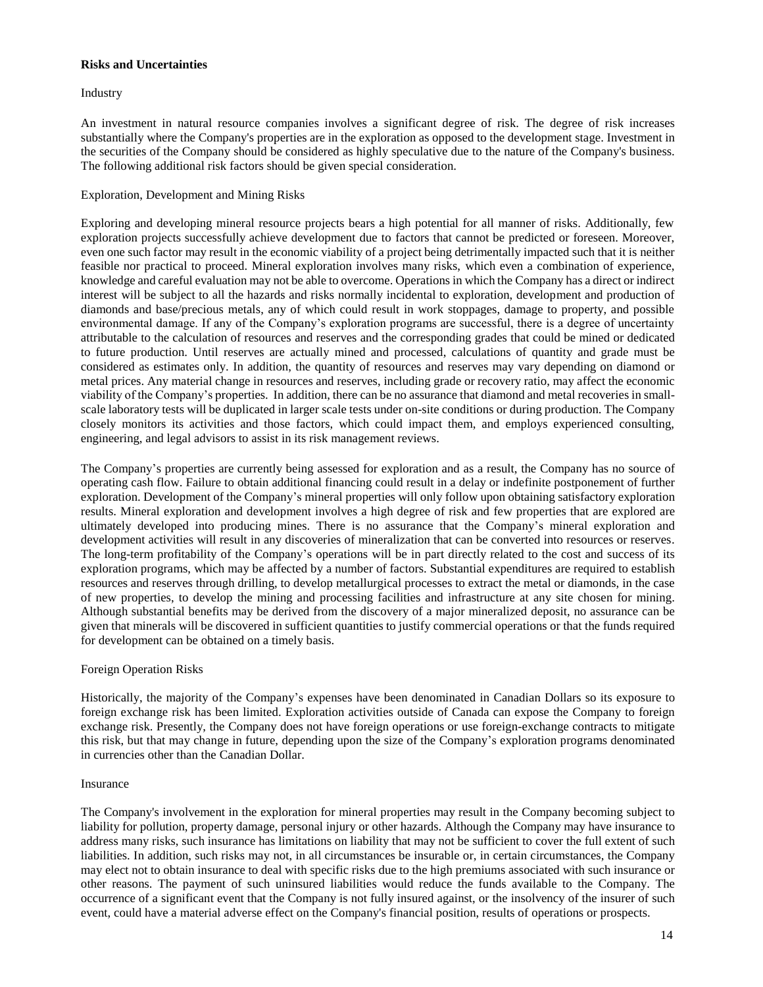### **Risks and Uncertainties**

# Industry

An investment in natural resource companies involves a significant degree of risk. The degree of risk increases substantially where the Company's properties are in the exploration as opposed to the development stage. Investment in the securities of the Company should be considered as highly speculative due to the nature of the Company's business. The following additional risk factors should be given special consideration.

# Exploration, Development and Mining Risks

Exploring and developing mineral resource projects bears a high potential for all manner of risks. Additionally, few exploration projects successfully achieve development due to factors that cannot be predicted or foreseen. Moreover, even one such factor may result in the economic viability of a project being detrimentally impacted such that it is neither feasible nor practical to proceed. Mineral exploration involves many risks, which even a combination of experience, knowledge and careful evaluation may not be able to overcome. Operations in which the Company has a direct or indirect interest will be subject to all the hazards and risks normally incidental to exploration, development and production of diamonds and base/precious metals, any of which could result in work stoppages, damage to property, and possible environmental damage. If any of the Company's exploration programs are successful, there is a degree of uncertainty attributable to the calculation of resources and reserves and the corresponding grades that could be mined or dedicated to future production. Until reserves are actually mined and processed, calculations of quantity and grade must be considered as estimates only. In addition, the quantity of resources and reserves may vary depending on diamond or metal prices. Any material change in resources and reserves, including grade or recovery ratio, may affect the economic viability of the Company's properties. In addition, there can be no assurance that diamond and metal recoveries in smallscale laboratory tests will be duplicated in larger scale tests under on-site conditions or during production. The Company closely monitors its activities and those factors, which could impact them, and employs experienced consulting, engineering, and legal advisors to assist in its risk management reviews.

The Company's properties are currently being assessed for exploration and as a result, the Company has no source of operating cash flow. Failure to obtain additional financing could result in a delay or indefinite postponement of further exploration. Development of the Company's mineral properties will only follow upon obtaining satisfactory exploration results. Mineral exploration and development involves a high degree of risk and few properties that are explored are ultimately developed into producing mines. There is no assurance that the Company's mineral exploration and development activities will result in any discoveries of mineralization that can be converted into resources or reserves. The long-term profitability of the Company's operations will be in part directly related to the cost and success of its exploration programs, which may be affected by a number of factors. Substantial expenditures are required to establish resources and reserves through drilling, to develop metallurgical processes to extract the metal or diamonds, in the case of new properties, to develop the mining and processing facilities and infrastructure at any site chosen for mining. Although substantial benefits may be derived from the discovery of a major mineralized deposit, no assurance can be given that minerals will be discovered in sufficient quantities to justify commercial operations or that the funds required for development can be obtained on a timely basis.

# Foreign Operation Risks

Historically, the majority of the Company's expenses have been denominated in Canadian Dollars so its exposure to foreign exchange risk has been limited. Exploration activities outside of Canada can expose the Company to foreign exchange risk. Presently, the Company does not have foreign operations or use foreign-exchange contracts to mitigate this risk, but that may change in future, depending upon the size of the Company's exploration programs denominated in currencies other than the Canadian Dollar.

#### Insurance

The Company's involvement in the exploration for mineral properties may result in the Company becoming subject to liability for pollution, property damage, personal injury or other hazards. Although the Company may have insurance to address many risks, such insurance has limitations on liability that may not be sufficient to cover the full extent of such liabilities. In addition, such risks may not, in all circumstances be insurable or, in certain circumstances, the Company may elect not to obtain insurance to deal with specific risks due to the high premiums associated with such insurance or other reasons. The payment of such uninsured liabilities would reduce the funds available to the Company. The occurrence of a significant event that the Company is not fully insured against, or the insolvency of the insurer of such event, could have a material adverse effect on the Company's financial position, results of operations or prospects.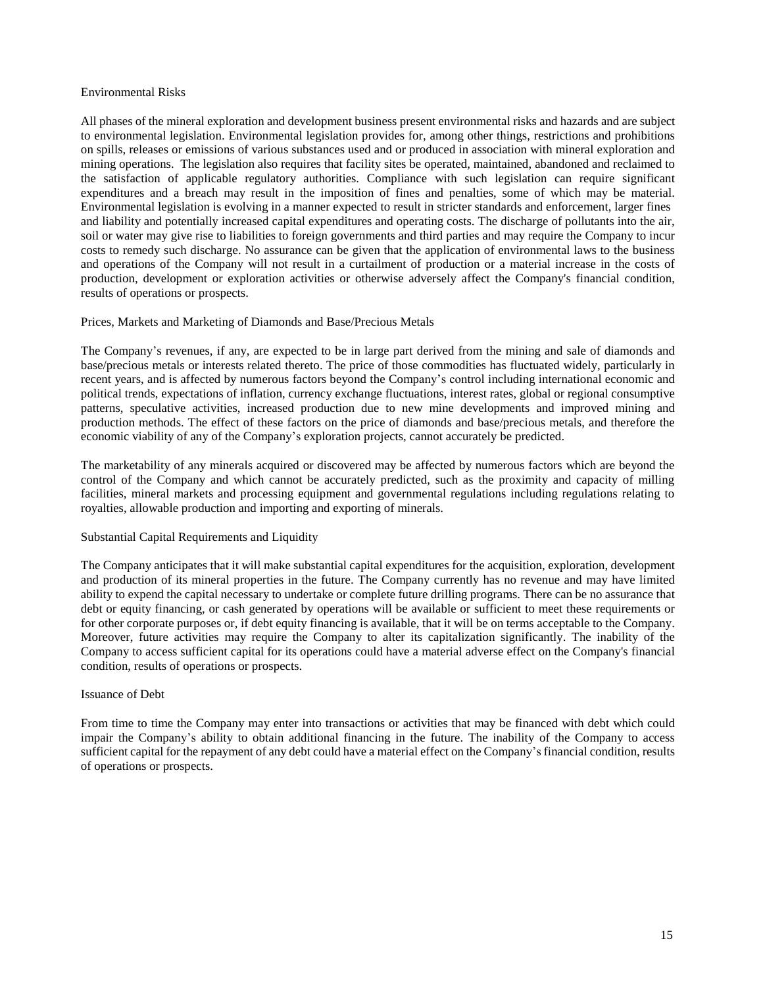#### Environmental Risks

All phases of the mineral exploration and development business present environmental risks and hazards and are subject to environmental legislation. Environmental legislation provides for, among other things, restrictions and prohibitions on spills, releases or emissions of various substances used and or produced in association with mineral exploration and mining operations. The legislation also requires that facility sites be operated, maintained, abandoned and reclaimed to the satisfaction of applicable regulatory authorities. Compliance with such legislation can require significant expenditures and a breach may result in the imposition of fines and penalties, some of which may be material. Environmental legislation is evolving in a manner expected to result in stricter standards and enforcement, larger fines and liability and potentially increased capital expenditures and operating costs. The discharge of pollutants into the air, soil or water may give rise to liabilities to foreign governments and third parties and may require the Company to incur costs to remedy such discharge. No assurance can be given that the application of environmental laws to the business and operations of the Company will not result in a curtailment of production or a material increase in the costs of production, development or exploration activities or otherwise adversely affect the Company's financial condition, results of operations or prospects.

# Prices, Markets and Marketing of Diamonds and Base/Precious Metals

The Company's revenues, if any, are expected to be in large part derived from the mining and sale of diamonds and base/precious metals or interests related thereto. The price of those commodities has fluctuated widely, particularly in recent years, and is affected by numerous factors beyond the Company's control including international economic and political trends, expectations of inflation, currency exchange fluctuations, interest rates, global or regional consumptive patterns, speculative activities, increased production due to new mine developments and improved mining and production methods. The effect of these factors on the price of diamonds and base/precious metals, and therefore the economic viability of any of the Company's exploration projects, cannot accurately be predicted.

The marketability of any minerals acquired or discovered may be affected by numerous factors which are beyond the control of the Company and which cannot be accurately predicted, such as the proximity and capacity of milling facilities, mineral markets and processing equipment and governmental regulations including regulations relating to royalties, allowable production and importing and exporting of minerals.

### Substantial Capital Requirements and Liquidity

The Company anticipates that it will make substantial capital expenditures for the acquisition, exploration, development and production of its mineral properties in the future. The Company currently has no revenue and may have limited ability to expend the capital necessary to undertake or complete future drilling programs. There can be no assurance that debt or equity financing, or cash generated by operations will be available or sufficient to meet these requirements or for other corporate purposes or, if debt equity financing is available, that it will be on terms acceptable to the Company. Moreover, future activities may require the Company to alter its capitalization significantly. The inability of the Company to access sufficient capital for its operations could have a material adverse effect on the Company's financial condition, results of operations or prospects.

#### Issuance of Debt

From time to time the Company may enter into transactions or activities that may be financed with debt which could impair the Company's ability to obtain additional financing in the future. The inability of the Company to access sufficient capital for the repayment of any debt could have a material effect on the Company's financial condition, results of operations or prospects.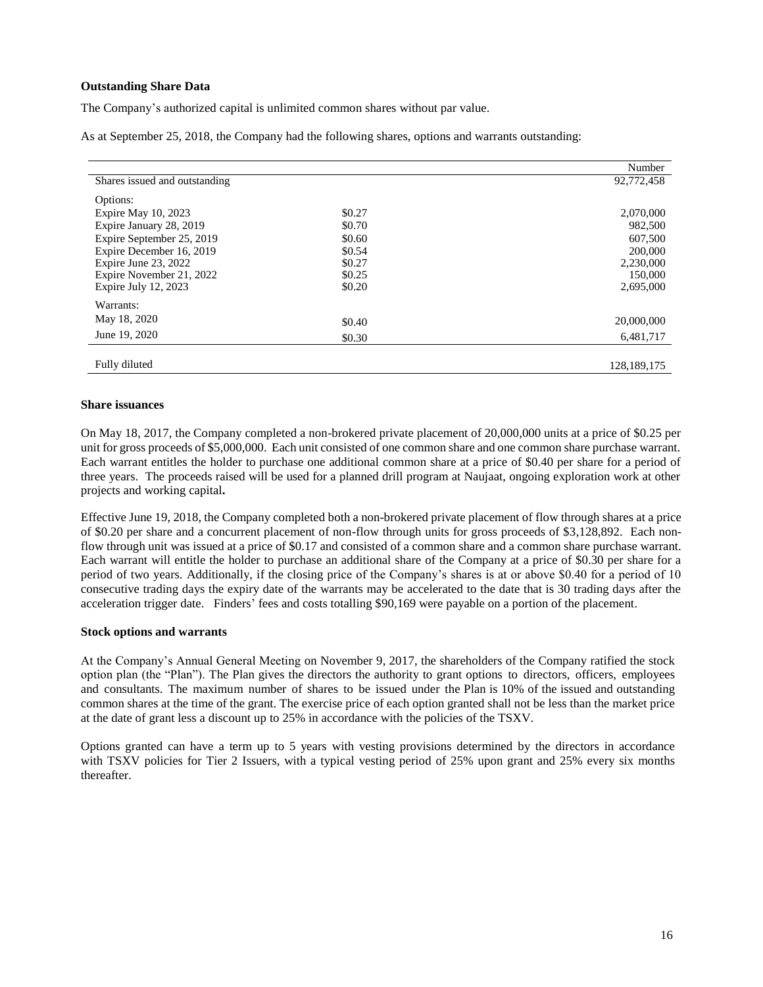# **Outstanding Share Data**

The Company's authorized capital is unlimited common shares without par value.

As at September 25, 2018, the Company had the following shares, options and warrants outstanding:

|                               |        | Number        |
|-------------------------------|--------|---------------|
| Shares issued and outstanding |        | 92,772,458    |
| Options:                      |        |               |
| Expire May 10, 2023           | \$0.27 | 2,070,000     |
| Expire January 28, 2019       | \$0.70 | 982,500       |
| Expire September 25, 2019     | \$0.60 | 607,500       |
| Expire December 16, 2019      | \$0.54 | 200,000       |
| Expire June 23, 2022          | \$0.27 | 2,230,000     |
| Expire November 21, 2022      | \$0.25 | 150,000       |
| Expire July $12, 2023$        | \$0.20 | 2,695,000     |
| Warrants:                     |        |               |
| May 18, 2020                  | \$0.40 | 20,000,000    |
| June 19, 2020                 | \$0.30 | 6,481,717     |
|                               |        |               |
| Fully diluted                 |        | 128, 189, 175 |

#### **Share issuances**

On May 18, 2017, the Company completed a non-brokered private placement of 20,000,000 units at a price of \$0.25 per unit for gross proceeds of \$5,000,000. Each unit consisted of one common share and one common share purchase warrant. Each warrant entitles the holder to purchase one additional common share at a price of \$0.40 per share for a period of three years. The proceeds raised will be used for a planned drill program at Naujaat, ongoing exploration work at other projects and working capital**.**

Effective June 19, 2018, the Company completed both a non-brokered private placement of flow through shares at a price of \$0.20 per share and a concurrent placement of non-flow through units for gross proceeds of \$3,128,892. Each nonflow through unit was issued at a price of \$0.17 and consisted of a common share and a common share purchase warrant. Each warrant will entitle the holder to purchase an additional share of the Company at a price of \$0.30 per share for a period of two years. Additionally, if the closing price of the Company's shares is at or above \$0.40 for a period of 10 consecutive trading days the expiry date of the warrants may be accelerated to the date that is 30 trading days after the acceleration trigger date. Finders' fees and costs totalling \$90,169 were payable on a portion of the placement.

#### **Stock options and warrants**

At the Company's Annual General Meeting on November 9, 2017, the shareholders of the Company ratified the stock option plan (the "Plan"). The Plan gives the directors the authority to grant options to directors, officers, employees and consultants. The maximum number of shares to be issued under the Plan is 10% of the issued and outstanding common shares at the time of the grant. The exercise price of each option granted shall not be less than the market price at the date of grant less a discount up to 25% in accordance with the policies of the TSXV.

Options granted can have a term up to 5 years with vesting provisions determined by the directors in accordance with TSXV policies for Tier 2 Issuers, with a typical vesting period of 25% upon grant and 25% every six months thereafter.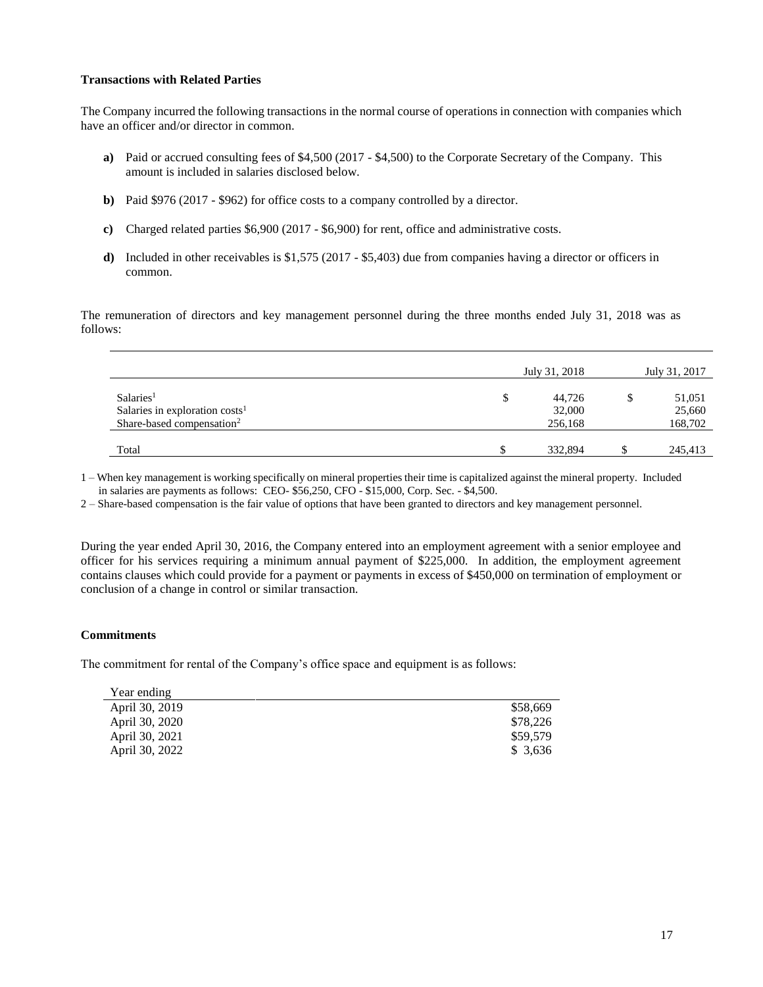# **Transactions with Related Parties**

The Company incurred the following transactions in the normal course of operations in connection with companies which have an officer and/or director in common.

- **a)** Paid or accrued consulting fees of \$4,500 (2017 \$4,500) to the Corporate Secretary of the Company. This amount is included in salaries disclosed below.
- **b)** Paid \$976 (2017 \$962) for office costs to a company controlled by a director.
- **c)** Charged related parties \$6,900 (2017 \$6,900) for rent, office and administrative costs.
- **d)** Included in other receivables is \$1,575 (2017 \$5,403) due from companies having a director or officers in common.

The remuneration of directors and key management personnel during the three months ended July 31, 2018 was as follows:

|                                                                                                              | July 31, 2018               |               | July 31, 2017               |
|--------------------------------------------------------------------------------------------------------------|-----------------------------|---------------|-----------------------------|
| Salaries <sup>1</sup><br>Salaries in exploration costs <sup>1</sup><br>Share-based compensation <sup>2</sup> | 44,726<br>32,000<br>256,168 |               | 51,051<br>25,660<br>168,702 |
| Total                                                                                                        | 332,894                     | <sup>\$</sup> | 245,413                     |

1 – When key management is working specifically on mineral properties their time is capitalized against the mineral property. Included in salaries are payments as follows: CEO- \$56,250, CFO - \$15,000, Corp. Sec. - \$4,500.

2 – Share-based compensation is the fair value of options that have been granted to directors and key management personnel.

During the year ended April 30, 2016, the Company entered into an employment agreement with a senior employee and officer for his services requiring a minimum annual payment of \$225,000. In addition, the employment agreement contains clauses which could provide for a payment or payments in excess of \$450,000 on termination of employment or conclusion of a change in control or similar transaction.

### **Commitments**

The commitment for rental of the Company's office space and equipment is as follows:

| Year ending    |          |
|----------------|----------|
| April 30, 2019 | \$58,669 |
| April 30, 2020 | \$78,226 |
| April 30, 2021 | \$59,579 |
| April 30, 2022 | \$ 3,636 |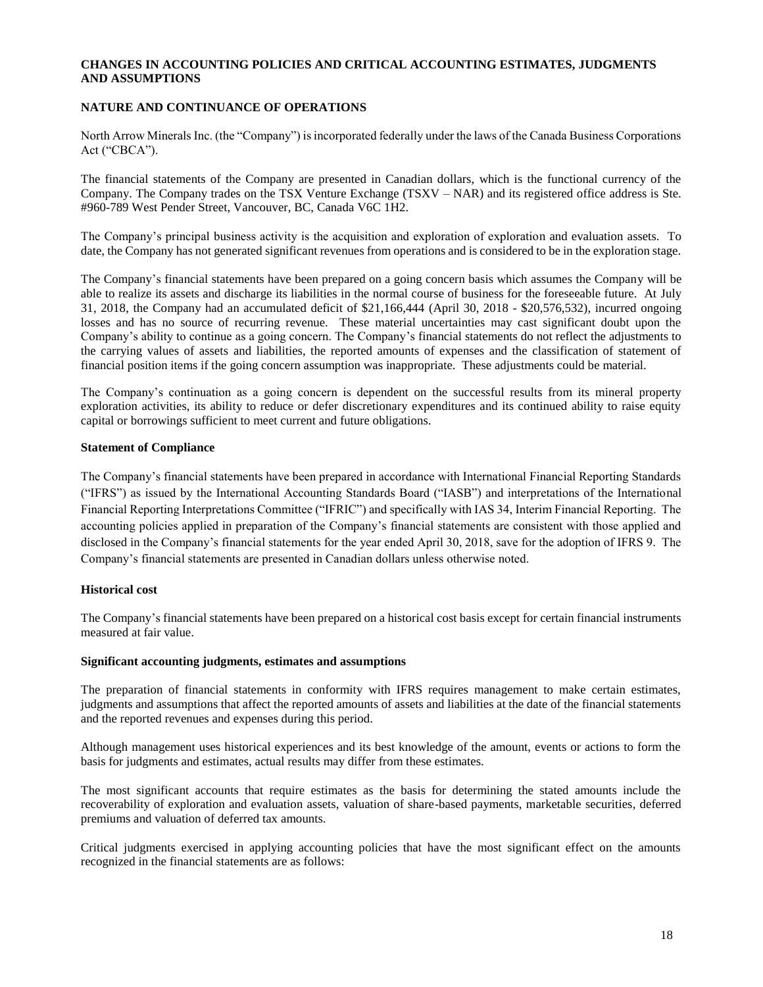# **CHANGES IN ACCOUNTING POLICIES AND CRITICAL ACCOUNTING ESTIMATES, JUDGMENTS AND ASSUMPTIONS**

# **NATURE AND CONTINUANCE OF OPERATIONS**

North Arrow Minerals Inc. (the "Company") is incorporated federally under the laws of the Canada Business Corporations Act ("CBCA").

The financial statements of the Company are presented in Canadian dollars, which is the functional currency of the Company. The Company trades on the TSX Venture Exchange (TSXV – NAR) and its registered office address is Ste. #960-789 West Pender Street, Vancouver, BC, Canada V6C 1H2.

The Company's principal business activity is the acquisition and exploration of exploration and evaluation assets. To date, the Company has not generated significant revenues from operations and is considered to be in the exploration stage.

The Company's financial statements have been prepared on a going concern basis which assumes the Company will be able to realize its assets and discharge its liabilities in the normal course of business for the foreseeable future. At July 31, 2018, the Company had an accumulated deficit of \$21,166,444 (April 30, 2018 - \$20,576,532), incurred ongoing losses and has no source of recurring revenue. These material uncertainties may cast significant doubt upon the Company's ability to continue as a going concern. The Company's financial statements do not reflect the adjustments to the carrying values of assets and liabilities, the reported amounts of expenses and the classification of statement of financial position items if the going concern assumption was inappropriate. These adjustments could be material.

The Company's continuation as a going concern is dependent on the successful results from its mineral property exploration activities, its ability to reduce or defer discretionary expenditures and its continued ability to raise equity capital or borrowings sufficient to meet current and future obligations.

#### **Statement of Compliance**

The Company's financial statements have been prepared in accordance with International Financial Reporting Standards ("IFRS") as issued by the International Accounting Standards Board ("IASB") and interpretations of the International Financial Reporting Interpretations Committee ("IFRIC") and specifically with IAS 34, Interim Financial Reporting. The accounting policies applied in preparation of the Company's financial statements are consistent with those applied and disclosed in the Company's financial statements for the year ended April 30, 2018, save for the adoption of IFRS 9. The Company's financial statements are presented in Canadian dollars unless otherwise noted.

# **Historical cost**

The Company's financial statements have been prepared on a historical cost basis except for certain financial instruments measured at fair value.

#### **Significant accounting judgments, estimates and assumptions**

The preparation of financial statements in conformity with IFRS requires management to make certain estimates, judgments and assumptions that affect the reported amounts of assets and liabilities at the date of the financial statements and the reported revenues and expenses during this period.

Although management uses historical experiences and its best knowledge of the amount, events or actions to form the basis for judgments and estimates, actual results may differ from these estimates.

The most significant accounts that require estimates as the basis for determining the stated amounts include the recoverability of exploration and evaluation assets, valuation of share-based payments, marketable securities, deferred premiums and valuation of deferred tax amounts.

Critical judgments exercised in applying accounting policies that have the most significant effect on the amounts recognized in the financial statements are as follows: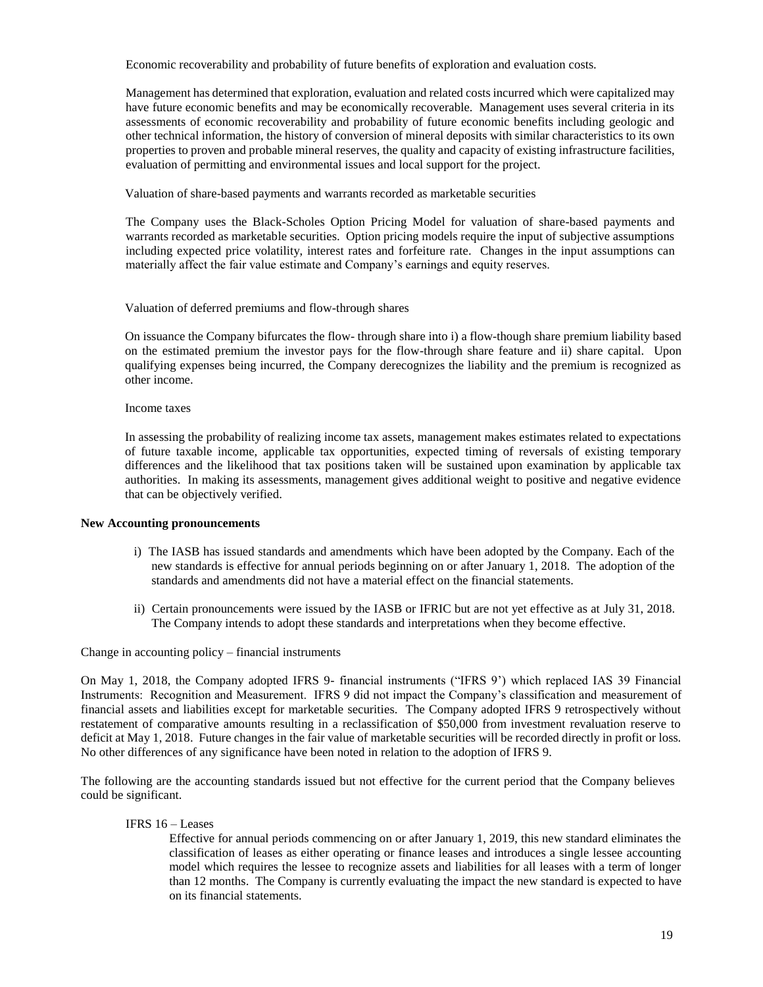Economic recoverability and probability of future benefits of exploration and evaluation costs*.* 

Management has determined that exploration, evaluation and related costs incurred which were capitalized may have future economic benefits and may be economically recoverable. Management uses several criteria in its assessments of economic recoverability and probability of future economic benefits including geologic and other technical information, the history of conversion of mineral deposits with similar characteristics to its own properties to proven and probable mineral reserves, the quality and capacity of existing infrastructure facilities, evaluation of permitting and environmental issues and local support for the project.

Valuation of share-based payments and warrants recorded as marketable securities

The Company uses the Black-Scholes Option Pricing Model for valuation of share-based payments and warrants recorded as marketable securities. Option pricing models require the input of subjective assumptions including expected price volatility, interest rates and forfeiture rate. Changes in the input assumptions can materially affect the fair value estimate and Company's earnings and equity reserves.

Valuation of deferred premiums and flow-through shares

On issuance the Company bifurcates the flow- through share into i) a flow-though share premium liability based on the estimated premium the investor pays for the flow-through share feature and ii) share capital. Upon qualifying expenses being incurred, the Company derecognizes the liability and the premium is recognized as other income.

#### Income taxes

In assessing the probability of realizing income tax assets, management makes estimates related to expectations of future taxable income, applicable tax opportunities, expected timing of reversals of existing temporary differences and the likelihood that tax positions taken will be sustained upon examination by applicable tax authorities. In making its assessments, management gives additional weight to positive and negative evidence that can be objectively verified.

#### **New Accounting pronouncements**

- i) The IASB has issued standards and amendments which have been adopted by the Company. Each of the new standards is effective for annual periods beginning on or after January 1, 2018. The adoption of the standards and amendments did not have a material effect on the financial statements.
- ii) Certain pronouncements were issued by the IASB or IFRIC but are not yet effective as at July 31, 2018. The Company intends to adopt these standards and interpretations when they become effective.

Change in accounting policy – financial instruments

On May 1, 2018, the Company adopted IFRS 9- financial instruments ("IFRS 9') which replaced IAS 39 Financial Instruments: Recognition and Measurement. IFRS 9 did not impact the Company's classification and measurement of financial assets and liabilities except for marketable securities. The Company adopted IFRS 9 retrospectively without restatement of comparative amounts resulting in a reclassification of \$50,000 from investment revaluation reserve to deficit at May 1, 2018. Future changes in the fair value of marketable securities will be recorded directly in profit or loss. No other differences of any significance have been noted in relation to the adoption of IFRS 9.

The following are the accounting standards issued but not effective for the current period that the Company believes could be significant.

# IFRS 16 – Leases

Effective for annual periods commencing on or after January 1, 2019, this new standard eliminates the classification of leases as either operating or finance leases and introduces a single lessee accounting model which requires the lessee to recognize assets and liabilities for all leases with a term of longer than 12 months. The Company is currently evaluating the impact the new standard is expected to have on its financial statements.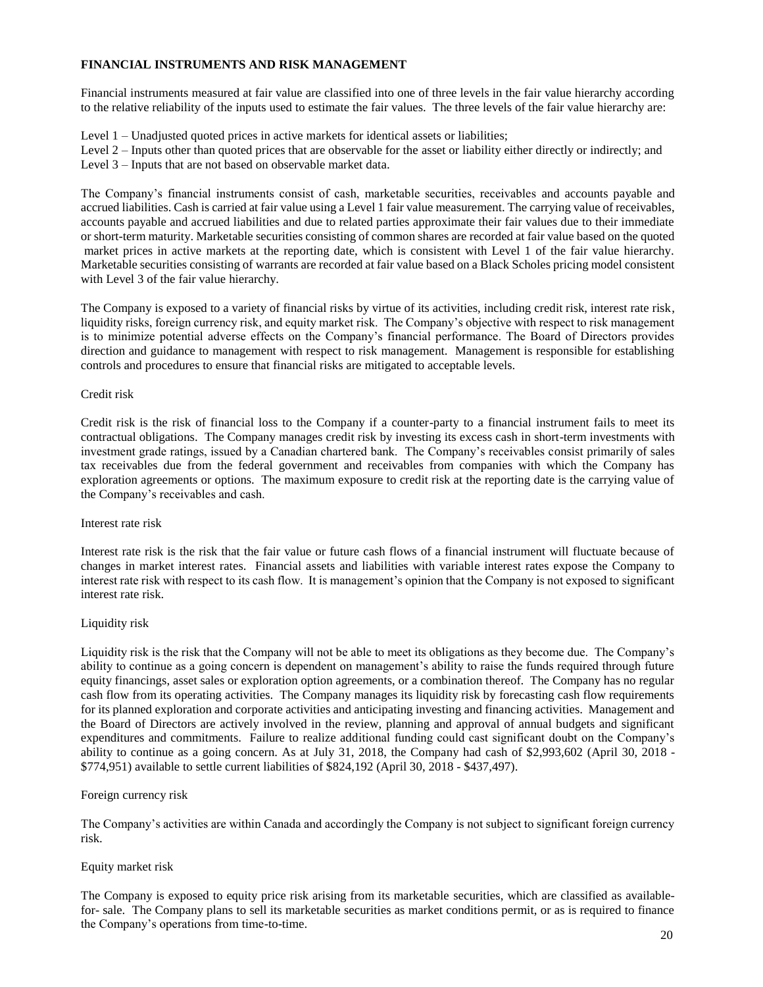# **FINANCIAL INSTRUMENTS AND RISK MANAGEMENT**

Financial instruments measured at fair value are classified into one of three levels in the fair value hierarchy according to the relative reliability of the inputs used to estimate the fair values. The three levels of the fair value hierarchy are:

Level 1 – Unadjusted quoted prices in active markets for identical assets or liabilities;

Level 2 – Inputs other than quoted prices that are observable for the asset or liability either directly or indirectly; and Level 3 – Inputs that are not based on observable market data.

The Company's financial instruments consist of cash, marketable securities, receivables and accounts payable and accrued liabilities. Cash is carried at fair value using a Level 1 fair value measurement. The carrying value of receivables, accounts payable and accrued liabilities and due to related parties approximate their fair values due to their immediate or short-term maturity. Marketable securities consisting of common shares are recorded at fair value based on the quoted market prices in active markets at the reporting date, which is consistent with Level 1 of the fair value hierarchy. Marketable securities consisting of warrants are recorded at fair value based on a Black Scholes pricing model consistent with Level 3 of the fair value hierarchy.

The Company is exposed to a variety of financial risks by virtue of its activities, including credit risk, interest rate risk, liquidity risks, foreign currency risk, and equity market risk. The Company's objective with respect to risk management is to minimize potential adverse effects on the Company's financial performance. The Board of Directors provides direction and guidance to management with respect to risk management. Management is responsible for establishing controls and procedures to ensure that financial risks are mitigated to acceptable levels.

#### Credit risk

Credit risk is the risk of financial loss to the Company if a counter-party to a financial instrument fails to meet its contractual obligations. The Company manages credit risk by investing its excess cash in short-term investments with investment grade ratings, issued by a Canadian chartered bank. The Company's receivables consist primarily of sales tax receivables due from the federal government and receivables from companies with which the Company has exploration agreements or options. The maximum exposure to credit risk at the reporting date is the carrying value of the Company's receivables and cash.

#### Interest rate risk

Interest rate risk is the risk that the fair value or future cash flows of a financial instrument will fluctuate because of changes in market interest rates. Financial assets and liabilities with variable interest rates expose the Company to interest rate risk with respect to its cash flow. It is management's opinion that the Company is not exposed to significant interest rate risk.

# Liquidity risk

Liquidity risk is the risk that the Company will not be able to meet its obligations as they become due. The Company's ability to continue as a going concern is dependent on management's ability to raise the funds required through future equity financings, asset sales or exploration option agreements, or a combination thereof. The Company has no regular cash flow from its operating activities. The Company manages its liquidity risk by forecasting cash flow requirements for its planned exploration and corporate activities and anticipating investing and financing activities. Management and the Board of Directors are actively involved in the review, planning and approval of annual budgets and significant expenditures and commitments. Failure to realize additional funding could cast significant doubt on the Company's ability to continue as a going concern. As at July 31, 2018, the Company had cash of \$2,993,602 (April 30, 2018 - \$774,951) available to settle current liabilities of \$824,192 (April 30, 2018 - \$437,497).

# Foreign currency risk

The Company's activities are within Canada and accordingly the Company is not subject to significant foreign currency risk.

#### Equity market risk

The Company is exposed to equity price risk arising from its marketable securities, which are classified as availablefor- sale. The Company plans to sell its marketable securities as market conditions permit, or as is required to finance the Company's operations from time-to-time.